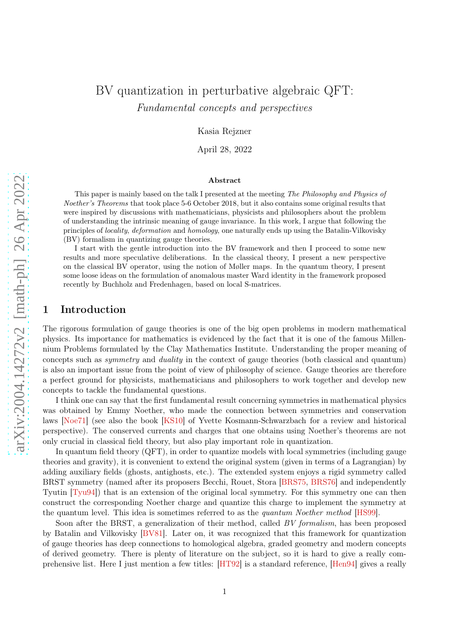# BV quantization in perturbative algebraic QFT: Fundamental concepts and perspectives

Kasia Rejzner

April 28, 2022

#### Abstract

This paper is mainly based on the talk I presented at the meeting The Philosophy and Physics of Noether's Theorems that took place 5-6 October 2018, but it also contains some original results that were inspired by discussions with mathematicians, physicists and philosophers about the problem of understanding the intrinsic meaning of gauge invariance. In this work, I argue that following the principles of locality, deformation and homology, one naturally ends up using the Batalin-Vilkovisky (BV) formalism in quantizing gauge theories.

I start with the gentle introduction into the BV framework and then I proceed to some new results and more speculative deliberations. In the classical theory, I present a new perspective on the classical BV operator, using the notion of Møller maps. In the quantum theory, I present some loose ideas on the formulation of anomalous master Ward identity in the framework proposed recently by Buchholz and Fredenhagen, based on local S-matrices.

# 1 Introduction

The rigorous formulation of gauge theories is one of the big open problems in modern mathematical physics. Its importance for mathematics is evidenced by the fact that it is one of the famous Millennium Problems formulated by the Clay Mathematics Institute. Understanding the proper meaning of concepts such as symmetry and duality in the context of gauge theories (both classical and quantum) is also an important issue from the point of view of philosophy of science. Gauge theories are therefore a perfect ground for physicists, mathematicians and philosophers to work together and develop new concepts to tackle the fundamental questions.

I think one can say that the first fundamental result concerning symmetries in mathematical physics was obtained by Emmy Noether, who made the connection between symmetries and conservation laws [\[Noe71\]](#page-28-0) (see also the book [\[KS10\]](#page-27-0) of Yvette Kosmann-Schwarzbach for a review and historical perspective). The conserved currents and charges that one obtains using Noether's theorems are not only crucial in classical field theory, but also play important role in quantization.

In quantum field theory (QFT), in order to quantize models with local symmetries (including gauge theories and gravity), it is convenient to extend the original system (given in terms of a Lagrangian) by adding auxiliary fields (ghosts, antighosts, etc.). The extended system enjoys a rigid symmetry called BRST symmetry (named after its proposers Becchi, Rouet, Stora [\[BRS75,](#page-26-0) [BRS76\]](#page-26-1) and independently Tyutin [\[Tyu94\]](#page-28-1)) that is an extension of the original local symmetry. For this symmetry one can then construct the corresponding Noether charge and quantize this charge to implement the symmetry at the quantum level. This idea is sometimes referred to as the quantum Noether method [\[HS99\]](#page-27-1).

Soon after the BRST, a generalization of their method, called BV formalism, has been proposed by Batalin and Vilkovisky [\[BV81\]](#page-26-2). Later on, it was recognized that this framework for quantization of gauge theories has deep connections to homological algebra, graded geometry and modern concepts of derived geometry. There is plenty of literature on the subject, so it is hard to give a really comprehensive list. Here I just mention a few titles: [\[HT92\]](#page-27-2) is a standard reference, [\[Hen94\]](#page-27-3) gives a really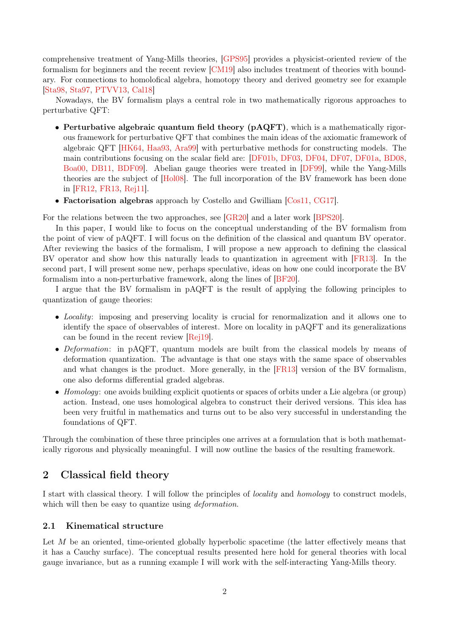comprehensive treatment of Yang-Mills theories, [\[GPS95\]](#page-27-4) provides a physicist-oriented review of the formalism for beginners and the recent review [\[CM19\]](#page-26-3) also includes treatment of theories with boundary. For connections to homolofical algebra, homotopy theory and derived geometry see for example [\[Sta98,](#page-28-2) [Sta97,](#page-28-3) [PTVV13,](#page-28-4) [Cal18\]](#page-26-4)

Nowadays, the BV formalism plays a central role in two mathematically rigorous approaches to perturbative QFT:

- Perturbative algebraic quantum field theory (pAQFT), which is a mathematically rigorous framework for perturbative QFT that combines the main ideas of the axiomatic framework of algebraic QFT [\[HK64,](#page-27-5) [Haa93,](#page-27-6) [Ara99\]](#page-26-5) with perturbative methods for constructing models. The main contributions focusing on the scalar field are: [\[DF01b,](#page-27-7) [DF03,](#page-27-8) [DF04,](#page-27-9) [DF07,](#page-27-10) [DF01a,](#page-27-11) [BD08,](#page-26-6) [Boa00,](#page-26-7) [DB11,](#page-27-12) [BDF09\]](#page-26-8). Abelian gauge theories were treated in [\[DF99\]](#page-27-13), while the Yang-Mills theories are the subject of [\[Hol08\]](#page-27-14). The full incorporation of the BV framework has been done in [\[FR12,](#page-27-15) [FR13,](#page-27-16) [Rej11\]](#page-28-5).
- Factorisation algebras approach by Costello and Gwilliam [\[Cos11,](#page-27-17) [CG17\]](#page-26-9).

For the relations between the two approaches, see [\[GR20\]](#page-27-18) and a later work [\[BPS20\]](#page-26-10).

In this paper, I would like to focus on the conceptual understanding of the BV formalism from the point of view of pAQFT. I will focus on the definition of the classical and quantum BV operator. After reviewing the basics of the formalism, I will propose a new approach to defining the classical BV operator and show how this naturally leads to quantization in agreement with [\[FR13\]](#page-27-16). In the second part, I will present some new, perhaps speculative, ideas on how one could incorporate the BV formalism into a non-perturbative framework, along the lines of [\[BF20\]](#page-26-11).

I argue that the BV formalism in pAQFT is the result of applying the following principles to quantization of gauge theories:

- Locality: imposing and preserving locality is crucial for renormalization and it allows one to identify the space of observables of interest. More on locality in pAQFT and its generalizations can be found in the recent review [\[Rej19\]](#page-28-6).
- Deformation: in pAQFT, quantum models are built from the classical models by means of deformation quantization. The advantage is that one stays with the same space of observables and what changes is the product. More generally, in the [\[FR13\]](#page-27-16) version of the BV formalism, one also deforms differential graded algebras.
- Homology: one avoids building explicit quotients or spaces of orbits under a Lie algebra (or group) action. Instead, one uses homological algebra to construct their derived versions. This idea has been very fruitful in mathematics and turns out to be also very successful in understanding the foundations of QFT.

Through the combination of these three principles one arrives at a formulation that is both mathematically rigorous and physically meaningful. I will now outline the basics of the resulting framework.

# 2 Classical field theory

I start with classical theory. I will follow the principles of locality and homology to construct models, which will then be easy to quantize using *deformation*.

# 2.1 Kinematical structure

Let  $M$  be an oriented, time-oriented globally hyperbolic spacetime (the latter effectively means that it has a Cauchy surface). The conceptual results presented here hold for general theories with local gauge invariance, but as a running example I will work with the self-interacting Yang-Mills theory.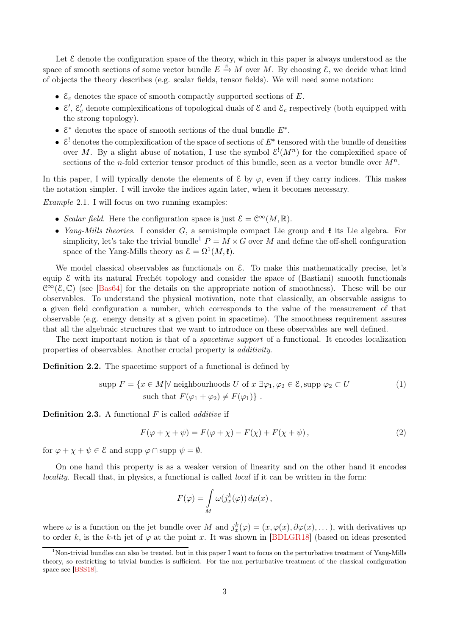Let  $\mathcal E$  denote the configuration space of the theory, which in this paper is always understood as the space of smooth sections of some vector bundle  $E \stackrel{\pi}{\to} M$  over M. By choosing  $\mathcal{E}$ , we decide what kind of objects the theory describes (e.g. scalar fields, tensor fields). We will need some notation:

- $\mathcal{E}_c$  denotes the space of smooth compactly supported sections of E.
- $\mathcal{E}'$ ,  $\mathcal{E}'_c$  denote complexifications of topological duals of  $\mathcal{E}$  and  $\mathcal{E}_c$  respectively (both equipped with the strong topology).
- $\mathcal{E}^*$  denotes the space of smooth sections of the dual bundle  $E^*$ .
- $\mathcal{E}^!$  denotes the complexification of the space of sections of  $E^*$  tensored with the bundle of densities over M. By a slight abuse of notation, I use the symbol  $\mathcal{E}^!(M^n)$  for the complexified space of sections of the *n*-fold exterior tensor product of this bundle, seen as a vector bundle over  $M^n$ .

In this paper, I will typically denote the elements of  $\mathcal E$  by  $\varphi$ , even if they carry indices. This makes the notation simpler. I will invoke the indices again later, when it becomes necessary.

Example 2.1. I will focus on two running examples:

- Scalar field. Here the configuration space is just  $\mathcal{E} = \mathcal{C}^{\infty}(M,\mathbb{R})$ .
- *Yang-Mills theories.* I consider G, a semisimple compact Lie group and  $\mathfrak k$  its Lie algebra. For simplicity, let's take the trivial bundle<sup>[1](#page-2-0)</sup>  $P = M \times G$  over M and define the off-shell configuration space of the Yang-Mills theory as  $\mathcal{E} = \Omega^1(M, \mathfrak{k}).$

We model classical observables as functionals on  $\mathcal{E}$ . To make this mathematically precise, let's equip  $\mathcal E$  with its natural Frechét topology and consider the space of (Bastiani) smooth functionals  $\mathcal{C}^{\infty}(\mathcal{E}, \mathbb{C})$  (see [\[Bas64\]](#page-26-12) for the details on the appropriate notion of smoothness). These will be our observables. To understand the physical motivation, note that classically, an observable assigns to a given field configuration a number, which corresponds to the value of the measurement of that observable (e.g. energy density at a given point in spacetime). The smoothness requirement assures that all the algebraic structures that we want to introduce on these observables are well defined.

The next important notion is that of a *spacetime support* of a functional. It encodes localization properties of observables. Another crucial property is additivity.

Definition 2.2. The spacetime support of a functional is defined by

$$
\text{supp } F = \{ x \in M | \forall \text{ neighbourhoods } U \text{ of } x \exists \varphi_1, \varphi_2 \in \mathcal{E}, \text{supp } \varphi_2 \subset U \qquad \text{(1)}
$$
\n
$$
\text{such that } F(\varphi_1 + \varphi_2) \neq F(\varphi_1) \} .
$$

**Definition 2.3.** A functional  $F$  is called *additive* if

<span id="page-2-1"></span>
$$
F(\varphi + \chi + \psi) = F(\varphi + \chi) - F(\chi) + F(\chi + \psi), \qquad (2)
$$

for  $\varphi + \chi + \psi \in \mathcal{E}$  and supp  $\varphi \cap \text{supp } \psi = \emptyset$ .

On one hand this property is as a weaker version of linearity and on the other hand it encodes locality. Recall that, in physics, a functional is called *local* if it can be written in the form:

$$
F(\varphi) = \int\limits_M \omega(j_x^k(\varphi)) d\mu(x) ,
$$

where  $\omega$  is a function on the jet bundle over M and  $j_x^k(\varphi) = (x, \varphi(x), \partial \varphi(x), \dots)$ , with derivatives up to order k, is the k-th jet of  $\varphi$  at the point x. It was shown in [\[BDLGR18\]](#page-26-13) (based on ideas presented

<span id="page-2-0"></span><sup>1</sup>Non-trivial bundles can also be treated, but in this paper I want to focus on the perturbative treatment of Yang-Mills theory, so restricting to trivial bundles is sufficient. For the non-perturbative treatment of the classical configuration space see [\[BSS18\]](#page-26-14).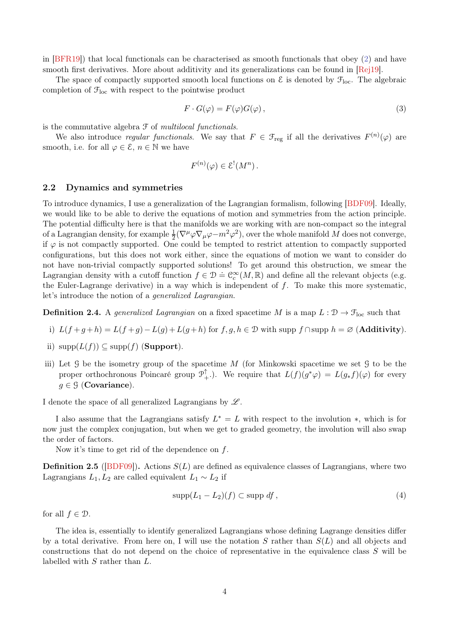in [\[BFR19\]](#page-26-15)) that local functionals can be characterised as smooth functionals that obey [\(2\)](#page-2-1) and have smooth first derivatives. More about additivity and its generalizations can be found in [\[Rej19\]](#page-28-6).

The space of compactly supported smooth local functions on  $\mathcal E$  is denoted by  $\mathcal F_{\text{loc}}$ . The algebraic completion of  $\mathcal{F}_{loc}$  with respect to the pointwise product

$$
F \cdot G(\varphi) = F(\varphi)G(\varphi), \qquad (3)
$$

is the commutative algebra  $\mathcal F$  of multilocal functionals.

We also introduce *regular functionals*. We say that  $F \in \mathcal{F}_{reg}$  if all the derivatives  $F^{(n)}(\varphi)$  are smooth, i.e. for all  $\varphi \in \mathcal{E}$ ,  $n \in \mathbb{N}$  we have

$$
F^{(n)}(\varphi) \in \mathcal{E}^!(M^n) \, .
$$

## 2.2 Dynamics and symmetries

To introduce dynamics, I use a generalization of the Lagrangian formalism, following [\[BDF09\]](#page-26-8). Ideally, we would like to be able to derive the equations of motion and symmetries from the action principle. The potential difficulty here is that the manifolds we are working with are non-compact so the integral of a Lagrangian density, for example  $\frac{1}{2}(\nabla^{\mu}\varphi\nabla_{\mu}\varphi-m^2\varphi^2)$ , over the whole manifold M does not converge, if  $\varphi$  is not compactly supported. One could be tempted to restrict attention to compactly supported configurations, but this does not work either, since the equations of motion we want to consider do not have non-trivial compactly supported solutions! To get around this obstruction, we smear the Lagrangian density with a cutoff function  $f \in \mathcal{D} \doteq \mathcal{C}_c^{\infty}(M,\mathbb{R})$  and define all the relevant objects (e.g. the Euler-Lagrange derivative) in a way which is independent of  $f$ . To make this more systematic, let's introduce the notion of a generalized Lagrangian.

**Definition 2.4.** A generalized Lagrangian on a fixed spacetime M is a map  $L : \mathcal{D} \to \mathcal{F}_{loc}$  such that

- i)  $L(f+g+h) = L(f+g) L(g) + L(g+h)$  for  $f, g, h \in \mathcal{D}$  with supp  $f \cap \text{supp } h = \emptyset$  (Additivity).
- ii)  $\text{supp}(L(f)) \subseteq \text{supp}(f)$  (**Support**).
- iii) Let  $\mathcal G$  be the isometry group of the spacetime M (for Minkowski spacetime we set  $\mathcal G$  to be the proper orthochronous Poincaré group  $\mathcal{P}_+^{\uparrow}$ .). We require that  $L(f)(g^*\varphi) = L(g_*f)(\varphi)$  for every  $q \in \mathcal{G}$  (Covariance).

I denote the space of all generalized Lagrangians by  $\mathscr{L}$ .

I also assume that the Lagrangians satisfy  $L^* = L$  with respect to the involution  $*$ , which is for now just the complex conjugation, but when we get to graded geometry, the involution will also swap the order of factors.

Now it's time to get rid of the dependence on  $f$ .

**Definition 2.5** ([\[BDF09\]](#page-26-8)). Actions  $S(L)$  are defined as equivalence classes of Lagrangians, where two Lagrangians  $L_1, L_2$  are called equivalent  $L_1 \sim L_2$  if

$$
supp(L_1 - L_2)(f) \subset supp \ df \ , \tag{4}
$$

for all  $f \in \mathcal{D}$ .

The idea is, essentially to identify generalized Lagrangians whose defining Lagrange densities differ by a total derivative. From here on, I will use the notation S rather than  $S(L)$  and all objects and constructions that do not depend on the choice of representative in the equivalence class S will be labelled with S rather than L.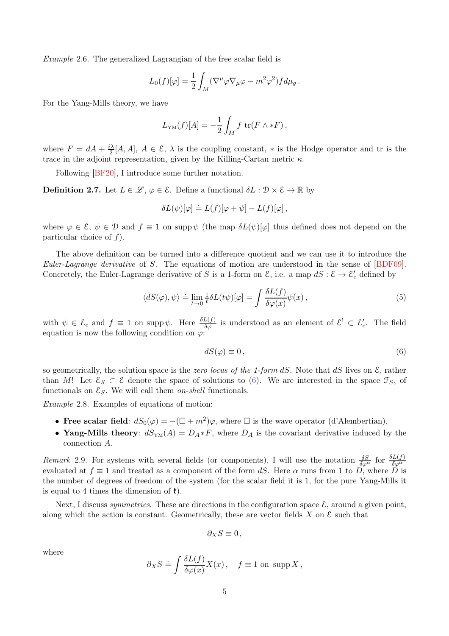Example 2.6. The generalized Lagrangian of the free scalar field is

$$
L_0(f)[\varphi] = \frac{1}{2} \int_M (\nabla^\mu \varphi \nabla_\mu \varphi - m^2 \varphi^2) f d\mu_g.
$$

For the Yang-Mills theory, we have

$$
L_{\text{YM}}(f)[A] = -\frac{1}{2} \int_M f \text{ tr}(F \wedge *F),
$$

where  $F = dA + \frac{i\lambda}{2}$  $\frac{\partial \lambda}{\partial \lambda}[A, A], A \in \mathcal{E}, \lambda$  is the coupling constant, \* is the Hodge operator and tr is the trace in the adjoint representation, given by the Killing-Cartan metric  $\kappa$ .

Following [\[BF20\]](#page-26-11), I introduce some further notation.

<span id="page-4-1"></span>**Definition 2.7.** Let  $L \in \mathcal{L}, \varphi \in \mathcal{E}$ . Define a functional  $\delta L : \mathcal{D} \times \mathcal{E} \to \mathbb{R}$  by

$$
\delta L(\psi)[\varphi] \doteq L(f)[\varphi + \psi] - L(f)[\varphi],
$$

where  $\varphi \in \mathcal{E}, \psi \in \mathcal{D}$  and  $f \equiv 1$  on supp  $\psi$  (the map  $\delta L(\psi)[\varphi]$  thus defined does not depend on the particular choice of  $f$ ).

The above definition can be turned into a difference quotient and we can use it to introduce the Euler-Lagrange derivative of S. The equations of motion are understood in the sense of [\[BDF09\]](#page-26-8). Concretely, the Euler-Lagrange derivative of S is a 1-form on  $\mathcal{E}$ , i.e. a map  $dS : \mathcal{E} \to \mathcal{E}'_c$  defined by

$$
\langle dS(\varphi), \psi \rangle \doteq \lim_{t \to 0} \frac{1}{t} \delta L(t\psi)[\varphi] = \int \frac{\delta L(f)}{\delta \varphi(x)} \psi(x) , \qquad (5)
$$

with  $\psi \in \mathcal{E}_c$  and  $f \equiv 1$  on supp  $\psi$ . Here  $\frac{\delta L(f)}{\delta \varphi}$  is understood as an element of  $\mathcal{E}^! \subset \mathcal{E}'_c$ . The field equation is now the following condition on  $\varphi$ :

<span id="page-4-0"></span>
$$
dS(\varphi) \equiv 0\,,\tag{6}
$$

so geometrically, the solution space is the *zero locus of the 1-form dS*. Note that dS lives on  $\mathcal{E}$ , rather than M! Let  $\mathcal{E}_S \subset \mathcal{E}$  denote the space of solutions to [\(6\)](#page-4-0). We are interested in the space  $\mathcal{F}_S$ , of functionals on  $\mathcal{E}_S$ . We will call them *on-shell* functionals.

Example 2.8. Examples of equations of motion:

- Free scalar field:  $dS_0(\varphi) = -(\Box + m^2)\varphi$ , where  $\Box$  is the wave operator (d'Alembertian).
- Yang-Mills theory:  $dS_{YM}(A) = D_A * F$ , where  $D_A$  is the covariant derivative induced by the connection A.

Remark 2.9. For systems with several fields (or components), I will use the notation  $\frac{\delta S}{\delta \varphi^{\alpha}}$  for  $\frac{\delta L(f)}{\delta \varphi^{\alpha}}$ evaluated at  $f \equiv 1$  and treated as a component of the form dS. Here  $\alpha$  runs from 1 to D, where D is the number of degrees of freedom of the system (for the scalar field it is 1, for the pure Yang-Mills it is equal to 4 times the dimension of  $\mathfrak{k}$ ).

Next, I discuss *symmetries*. These are directions in the configuration space  $\mathcal{E}$ , around a given point, along which the action is constant. Geometrically, these are vector fields  $X$  on  $\mathcal E$  such that

$$
\partial_X S \equiv 0 \,,
$$

where

$$
\partial_X S \doteq \int \frac{\delta L(f)}{\delta \varphi(x)} X(x) , \quad f \equiv 1 \text{ on } \text{supp } X ,
$$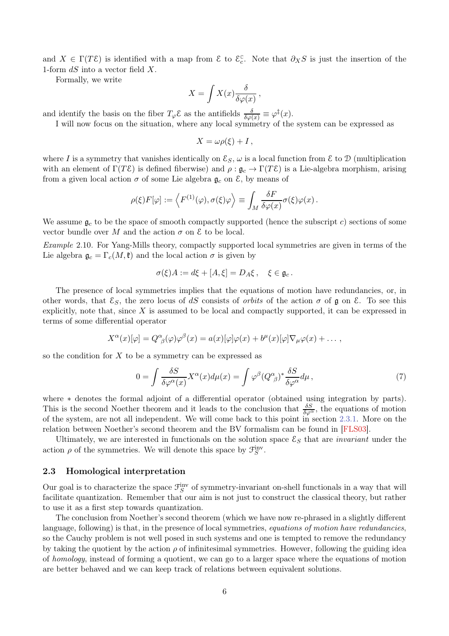and  $X \in \Gamma(T\mathcal{E})$  is identified with a map from  $\mathcal{E}$  to  $\mathcal{E}_c^{\mathbb{C}}$ . Note that  $\partial_X S$  is just the insertion of the 1-form  $dS$  into a vector field  $X$ .

Formally, we write

$$
X = \int X(x) \frac{\delta}{\delta \varphi(x)},
$$

and identify the basis on the fiber  $T_{\varphi} \mathcal{E}$  as the antifields  $\frac{\delta}{\delta \varphi(x)} \equiv \varphi^{\ddagger}(x)$ .

I will now focus on the situation, where any local symmetry of the system can be expressed as

$$
X=\omega \rho(\xi)+I\,,
$$

where I is a symmetry that vanishes identically on  $\mathcal{E}_S$ ,  $\omega$  is a local function from E to D (multiplication with an element of  $\Gamma(T\mathcal{E})$  is defined fiberwise) and  $\rho : \mathfrak{g}_c \to \Gamma(T\mathcal{E})$  is a Lie-algebra morphism, arising from a given local action  $\sigma$  of some Lie algebra  $\mathfrak{g}_c$  on  $\mathcal{E}$ , by means of

$$
\rho(\xi)F[\varphi] := \left\langle F^{(1)}(\varphi), \sigma(\xi)\varphi \right\rangle \equiv \int_M \frac{\delta F}{\delta \varphi(x)} \sigma(\xi) \varphi(x) .
$$

We assume  $g_c$  to be the space of smooth compactly supported (hence the subscript c) sections of some vector bundle over M and the action  $\sigma$  on  $\mathcal E$  to be local.

Example 2.10. For Yang-Mills theory, compactly supported local symmetries are given in terms of the Lie algebra  $\mathfrak{g}_c = \Gamma_c(M, \mathfrak{k})$  and the local action  $\sigma$  is given by

$$
\sigma(\xi)A := d\xi + [A,\xi] = D_A\xi, \quad \xi \in \mathfrak{g}_c.
$$

The presence of local symmetries implies that the equations of motion have redundancies, or, in other words, that  $\mathcal{E}_S$ , the zero locus of dS consists of *orbits* of the action  $\sigma$  of  $\mathfrak g$  on  $\mathcal E$ . To see this explicitly, note that, since  $X$  is assumed to be local and compactly supported, it can be expressed in terms of some differential operator

$$
X^{\alpha}(x)[\varphi] = Q^{\alpha}{}_{\beta}(\varphi)\varphi^{\beta}(x) = a(x)[\varphi]\varphi(x) + b^{\mu}(x)[\varphi]\nabla_{\mu}\varphi(x) + \dots,
$$

so the condition for  $X$  to be a symmetry can be expressed as

<span id="page-5-0"></span>
$$
0 = \int \frac{\delta S}{\delta \varphi^{\alpha}(x)} X^{\alpha}(x) d\mu(x) = \int \varphi^{\beta} (Q^{\alpha}_{\ \beta})^* \frac{\delta S}{\delta \varphi^{\alpha}} d\mu , \tag{7}
$$

where ∗ denotes the formal adjoint of a differential operator (obtained using integration by parts). This is the second Noether theorem and it leads to the conclusion that  $\frac{\delta S}{\delta \varphi^{\alpha}}$ , the equations of motion of the system, are not all independent. We will come back to this point in section [2.3.1.](#page-6-0) More on the relation between Noether's second theorem and the BV formalism can be found in [\[FLS03\]](#page-27-19).

Ultimately, we are interested in functionals on the solution space  $\mathcal{E}_S$  that are *invariant* under the action  $\rho$  of the symmetries. We will denote this space by  $\mathcal{F}_S^{\text{inv}}$ .

#### 2.3 Homological interpretation

Our goal is to characterize the space  $\mathcal{F}_S^{\text{inv}}$  of symmetry-invariant on-shell functionals in a way that will facilitate quantization. Remember that our aim is not just to construct the classical theory, but rather to use it as a first step towards quantization.

The conclusion from Noether's second theorem (which we have now re-phrased in a slightly different language, following) is that, in the presence of local symmetries, *equations of motion have redundancies*, so the Cauchy problem is not well posed in such systems and one is tempted to remove the redundancy by taking the quotient by the action  $\rho$  of infinitesimal symmetries. However, following the guiding idea of homology, instead of forming a quotient, we can go to a larger space where the equations of motion are better behaved and we can keep track of relations between equivalent solutions.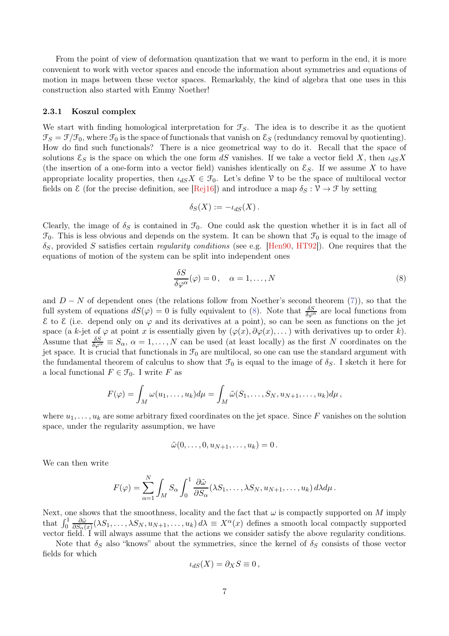From the point of view of deformation quantization that we want to perform in the end, it is more convenient to work with vector spaces and encode the information about symmetries and equations of motion in maps between these vector spaces. Remarkably, the kind of algebra that one uses in this construction also started with Emmy Noether!

#### <span id="page-6-0"></span>2.3.1 Koszul complex

We start with finding homological interpretation for  $\mathcal{F}_S$ . The idea is to describe it as the quotient  $\mathcal{F}_S = \mathcal{F}/\mathcal{F}_0$ , where  $\mathcal{F}_0$  is the space of functionals that vanish on  $\mathcal{E}_S$  (redundancy removal by quotienting). How do find such functionals? There is a nice geometrical way to do it. Recall that the space of solutions  $\mathcal{E}_S$  is the space on which the one form dS vanishes. If we take a vector field X, then  $\iota_{dS}X$ (the insertion of a one-form into a vector field) vanishes identically on  $\mathcal{E}_S$ . If we assume X to have appropriate locality properties, then  $\iota_{dS}X \in \mathcal{F}_0$ . Let's define V to be the space of multilocal vector fields on  $\mathcal E$  (for the precise definition, see [\[Rej16\]](#page-28-7)) and introduce a map  $\delta_S : \mathcal V \to \mathcal F$  by setting

$$
\delta_S(X) := -\iota_{dS}(X).
$$

Clearly, the image of  $\delta_S$  is contained in  $\mathcal{F}_0$ . One could ask the question whether it is in fact all of  $\mathcal{F}_0$ . This is less obvious and depends on the system. It can be shown that  $\mathcal{F}_0$  is equal to the image of  $\delta_S$ , provided S satisfies certain *regularity conditions* (see e.g. [\[Hen90,](#page-27-20) [HT92\]](#page-27-2)). One requires that the equations of motion of the system can be split into independent ones

<span id="page-6-1"></span>
$$
\frac{\delta S}{\delta \varphi^{\alpha}}(\varphi) = 0, \quad \alpha = 1, \dots, N
$$
\n(8)

and  $D - N$  of dependent ones (the relations follow from Noether's second theorem [\(7\)](#page-5-0)), so that the full system of equations  $dS(\varphi) = 0$  is fully equivalent to [\(8\)](#page-6-1). Note that  $\frac{\delta S}{\delta \varphi^{\alpha}}$  are local functions from E to E (i.e. depend only on ϕ and its derivatives at a point), so can be seen as functions on the jet space (a k-jet of  $\varphi$  at point x is essentially given by  $(\varphi(x), \partial \varphi(x), \dots)$  with derivatives up to order k). Assume that  $\frac{\delta S}{\delta \varphi^{\alpha}} \equiv S_{\alpha}, \ \alpha = 1, \ldots, N$  can be used (at least locally) as the first N coordinates on the jet space. It is crucial that functionals in  $\mathcal{F}_0$  are multilocal, so one can use the standard argument with the fundamental theorem of calculus to show that  $\mathcal{F}_0$  is equal to the image of  $\delta_S$ . I sketch it here for a local functional  $F \in \mathcal{F}_0$ . I write F as

$$
F(\varphi) = \int_M \omega(u_1,\ldots,u_k)d\mu = \int_M \tilde{\omega}(S_1,\ldots,S_N,u_{N+1},\ldots,u_k)d\mu,
$$

where  $u_1, \ldots, u_k$  are some arbitrary fixed coordinates on the jet space. Since F vanishes on the solution space, under the regularity assumption, we have

$$
\tilde{\omega}(0,\ldots,0,u_{N+1},\ldots,u_k)=0\,.
$$

We can then write

$$
F(\varphi) = \sum_{\alpha=1}^N \int_M S_\alpha \int_0^1 \frac{\partial \tilde{\omega}}{\partial S_\alpha}(\lambda S_1, \dots, \lambda S_N, u_{N+1}, \dots, u_k) d\lambda d\mu.
$$

Next, one shows that the smoothness, locality and the fact that  $\omega$  is compactly supported on M imply that  $\int_0^1$  $\partial \tilde{\omega}$  $\frac{\partial \tilde{\omega}}{\partial S_{\alpha}(x)}(\lambda S_1,\ldots,\lambda S_N, u_{N+1},\ldots,u_k) d\lambda \equiv X^{\alpha}(x)$  defines a smooth local compactly supported vector field. I will always assume that the actions we consider satisfy the above regularity conditions.

Note that  $\delta_S$  also "knows" about the symmetries, since the kernel of  $\delta_S$  consists of those vector fields for which

$$
\iota_{dS}(X)=\partial_X S\equiv 0\,,
$$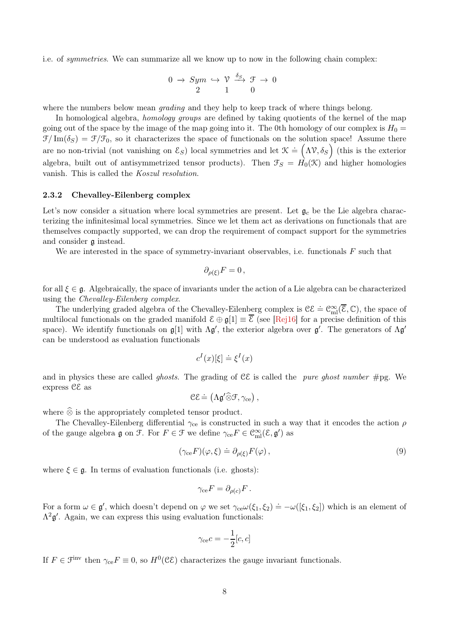i.e. of symmetries. We can summarize all we know up to now in the following chain complex:

$$
0 \to Sym \hookrightarrow \mathcal{V} \xrightarrow{\delta_S} \mathcal{F} \to 0
$$
  
2 1 0

where the numbers below mean *grading* and they help to keep track of where things belong.

In homological algebra, *homology groups* are defined by taking quotients of the kernel of the map going out of the space by the image of the map going into it. The 0th homology of our complex is  $H_0 =$  $\mathcal{F}/\text{Im}(\delta_S) = \mathcal{F}/\mathcal{F}_0$ , so it characterizes the space of functionals on the solution space! Assume there are no non-trivial (not vanishing on  $\mathcal{E}_S$ ) local symmetries and let  $\mathcal{K} \doteq (\Lambda \mathcal{V}, \delta_S)$  (this is the exterior algebra, built out of antisymmetrized tensor products). Then  $\mathcal{F}_S = H_0(\mathcal{K})$  and higher homologies vanish. This is called the Koszul resolution.

### 2.3.2 Chevalley-Eilenberg complex

Let's now consider a situation where local symmetries are present. Let  $\mathfrak{g}_c$  be the Lie algebra characterizing the infinitesimal local symmetries. Since we let them act as derivations on functionals that are themselves compactly supported, we can drop the requirement of compact support for the symmetries and consider g instead.

We are interested in the space of symmetry-invariant observables, i.e. functionals  $F$  such that

$$
\partial_{\rho(\xi)} F = 0 \,,
$$

for all  $\xi \in \mathfrak{g}$ . Algebraically, the space of invariants under the action of a Lie algebra can be characterized using the Chevalley-Eilenberg complex.

The underlying graded algebra of the Chevalley-Eilenberg complex is  $\mathcal{CE} \doteq \mathcal{C}^{\infty}_{ml}(\overline{\mathcal{E}}, \mathbb{C})$ , the space of multilocal functionals on the graded manifold  $\mathcal{E} \oplus \mathfrak{g}[1] \equiv \overline{\mathcal{E}}$  (see [\[Rej16\]](#page-28-7) for a precise definition of this space). We identify functionals on  $\mathfrak{g}[1]$  with  $\Lambda \mathfrak{g}'$ , the exterior algebra over  $\mathfrak{g}'$ . The generators of  $\Lambda \mathfrak{g}'$ can be understood as evaluation functionals

$$
c^{I}(x)[\xi] \doteq \xi^{I}(x)
$$

and in physics these are called *ghosts*. The grading of  $\mathcal{CE}$  is called the *pure ghost number*  $\#pg$ . We express CE as

$$
\mathcal{C}\mathcal{E} \doteq \left( \Lambda \mathfrak{g}' \widehat{\otimes} \mathcal{F}, \gamma_{\mathrm{ce}} \right),
$$

where  $\widehat{\otimes}$  is the appropriately completed tensor product.

The Chevalley-Eilenberg differential  $\gamma_{ce}$  is constructed in such a way that it encodes the action  $\rho$ of the gauge algebra  $\mathfrak g$  on  $\mathfrak F$ . For  $F\in\mathfrak F$  we define  $\gamma_{\rm ce}F\in\mathfrak C_{\rm ml}^\infty({\mathcal E},{\mathfrak g}')$  as

$$
(\gamma_{\rm ce} F)(\varphi, \xi) \doteq \partial_{\rho(\xi)} F(\varphi) , \qquad (9)
$$

where  $\xi \in \mathfrak{g}$ . In terms of evaluation functionals (i.e. ghosts):

$$
\gamma_{\rm ce} F = \partial_{\rho(c)} F.
$$

For a form  $\omega \in \mathfrak{g}'$ , which doesn't depend on  $\varphi$  we set  $\gamma_{ce}\omega(\xi_1, \xi_2) \doteq -\omega([\xi_1, \xi_2])$  which is an element of  $\Lambda^2$ g'. Again, we can express this using evaluation functionals:

$$
\gamma_{\rm ce}c = -\frac{1}{2}[c, c]
$$

If  $F \in \mathcal{F}^{\text{inv}}$  then  $\gamma_{ce} F \equiv 0$ , so  $H^0(\mathcal{CE})$  characterizes the gauge invariant functionals.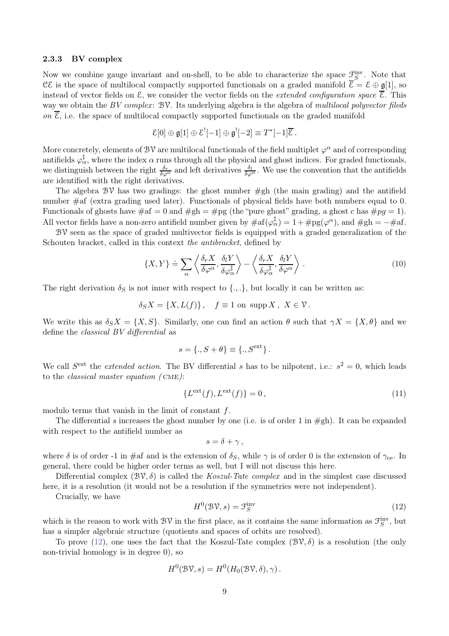#### 2.3.3 BV complex

Now we combine gauge invariant and on-shell, to be able to characterize the space  $\underline{\mathcal{F}}_S^{\text{inv}}$ . Note that CE is the space of multilocal compactly supported functionals on a graded manifold  $\overline{\mathcal{E}} = \mathcal{E} \oplus \mathfrak{g}[1]$ , so instead of vector fields on  $\mathcal{E}$ , we consider the vector fields on the *extended configuration space*  $\overline{\mathcal{E}}$ . This way we obtain the BV complex:  $\mathcal{BV}$ . Its underlying algebra is the algebra of multilocal polyvector fileds on  $\overline{\mathcal{E}}$ , i.e. the space of multilocal compactly supported functionals on the graded manifold

$$
\mathcal{E}[0] \oplus \mathfrak{g}[1] \oplus \mathcal{E}^![-1] \oplus \mathfrak{g}^![-2] \equiv T^*[-1]\overline{\mathcal{E}}.
$$

More concretely, elements of  $B\mathcal{V}$  are multilocal functionals of the field multiplet  $\varphi^{\alpha}$  and of corresponding antifields  $\varphi_{\alpha}^{\ddagger}$ , where the index  $\alpha$  runs through all the physical and ghost indices. For graded functionals, we distinguish between the right  $\frac{\delta_r}{\delta\varphi^\alpha}$  and left derivatives  $\frac{\delta_l}{\delta\varphi^\alpha}$ . We use the convention that the antifields are identified with the right derivatives.

The algebra  $\mathcal{BV}$  has two gradings: the ghost number  $\#gh$  (the main grading) and the antifield number #af (extra grading used later). Functionals of physical fields have both numbers equal to 0. Functionals of ghosts have  $\#af = 0$  and  $\#gh = \#pg$  (the "pure ghost" grading, a ghost c has  $\#pg = 1$ ). All vector fields have a non-zero antifield number given by  $\#\text{af}(\varphi_{\alpha}^{\ddagger}) = 1 + \#\text{pg}(\varphi^{\alpha})$ , and  $\#\text{gh} = -\#\text{af}$ .

 $BV$  seen as the space of graded multivector fields is equipped with a graded generalization of the Schouten bracket, called in this context the antibracket, defined by

<span id="page-8-1"></span>
$$
\{X,Y\} \doteq \sum_{\alpha} \left\langle \frac{\delta_r X}{\delta \varphi^{\alpha}}, \frac{\delta_l Y}{\delta \varphi_{\alpha}^{\dagger}} \right\rangle - \left\langle \frac{\delta_r X}{\delta \varphi_{\alpha}^{\dagger}}, \frac{\delta_l Y}{\delta \varphi^{\alpha}} \right\rangle. \tag{10}
$$

The right derivation  $\delta_S$  is not inner with respect to  $\{.\,,.\}$ , but locally it can be written as:

$$
\delta_S X = \{X, L(f)\}, \quad f \equiv 1 \text{ on } \operatorname{supp} X, \ X \in \mathcal{V}.
$$

We write this as  $\delta_S X = \{X, S\}$ . Similarly, one can find an action  $\theta$  such that  $\gamma X = \{X, \theta\}$  and we define the classical BV differential as

$$
s = \{., S + \theta\} \equiv \{., S^{\text{ext}}\}.
$$

We call  $S^{\text{ext}}$  the *extended action*. The BV differential s has to be nilpotent, i.e.:  $s^2 = 0$ , which leads to the classical master equation ( cme):

$$
\{L^{\text{ext}}(f), L^{\text{ext}}(f)\} = 0,\tag{11}
$$

modulo terms that vanish in the limit of constant f.

The differential s increases the ghost number by one (i.e. is of order 1 in  $\#gh$ ). It can be expanded with respect to the antifield number as

$$
s=\delta+\gamma\,,
$$

where  $\delta$  is of order -1 in #af and is the extension of  $\delta_S$ , while  $\gamma$  is of order 0 is the extension of  $\gamma_{ce}$ . In general, there could be higher order terms as well, but I will not discuss this here.

Differential complex  $(\mathcal{BV}, \delta)$  is called the Koszul-Tate complex and in the simplest case discussed here, it is a resolution (it would not be a resolution if the symmetries were not independent).

Crucially, we have

<span id="page-8-0"></span>
$$
H^{0}(\mathcal{BV},s) = \mathcal{F}_{S}^{\text{inv}} \tag{12}
$$

which is the reason to work with  $\mathcal{BV}$  in the first place, as it contains the same information as  $\mathcal{F}_S^{\text{inv}}$ , but has a simpler algebraic structure (quotients and spaces of orbits are resolved).

To prove [\(12\)](#page-8-0), one uses the fact that the Koszul-Tate complex  $(\mathcal{BV}, \delta)$  is a resolution (the only non-trivial homology is in degree 0), so

$$
H^0(\mathcal{BV},s) = H^0(H_0(\mathcal{BV},\delta),\gamma).
$$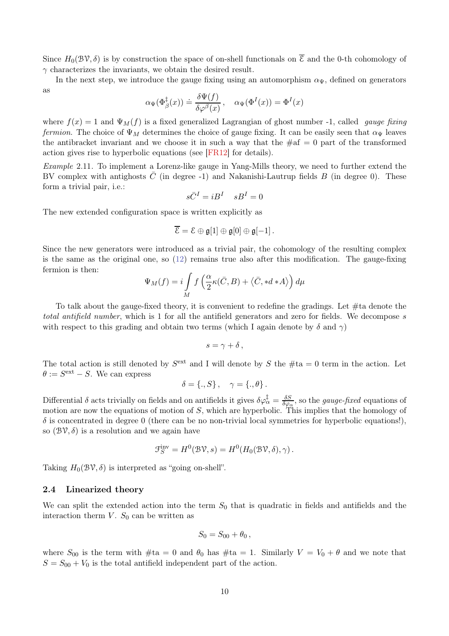Since  $H_0(\mathcal{BV},\delta)$  is by construction the space of on-shell functionals on  $\overline{\mathcal{E}}$  and the 0-th cohomology of  $\gamma$  characterizes the invariants, we obtain the desired result.

In the next step, we introduce the gauge fixing using an automorphism  $\alpha_{\Psi}$ , defined on generators as

$$
\alpha_{\Psi}(\Phi_{\beta}^{\ddagger}(x)) \doteq \frac{\delta \Psi(f)}{\delta \varphi^{\beta}(x)}, \quad \alpha_{\Psi}(\Phi^{I}(x)) = \Phi^{I}(x)
$$

where  $f(x) = 1$  and  $\Psi_M(f)$  is a fixed generalized Lagrangian of ghost number -1, called *gauge fixing* fermion. The choice of  $\Psi_M$  determines the choice of gauge fixing. It can be easily seen that  $\alpha_{\Psi}$  leaves the antibracket invariant and we choose it in such a way that the  $\#af = 0$  part of the transformed action gives rise to hyperbolic equations (see [\[FR12\]](#page-27-15) for details).

Example 2.11. To implement a Lorenz-like gauge in Yang-Mills theory, we need to further extend the BV complex with antighosts  $\bar{C}$  (in degree -1) and Nakanishi-Lautrup fields B (in degree 0). These form a trivial pair, i.e.:

$$
s\bar{C}^I=iB^I \quad sB^I=0
$$

The new extended configuration space is written explicitly as

$$
\overline{\mathcal{E}} = \mathcal{E} \oplus \mathfrak{g}[1] \oplus \mathfrak{g}[0] \oplus \mathfrak{g}[-1].
$$

Since the new generators were introduced as a trivial pair, the cohomology of the resulting complex is the same as the original one, so [\(12\)](#page-8-0) remains true also after this modification. The gauge-fixing fermion is then:

$$
\Psi_M(f) = i \int_M f\left(\frac{\alpha}{2}\kappa(\bar{C},B) + \langle \bar{C}, *d*A \rangle\right) d\mu
$$

To talk about the gauge-fixed theory, it is convenient to redefine the gradings. Let #ta denote the total antifield number, which is 1 for all the antifield generators and zero for fields. We decompose s with respect to this grading and obtain two terms (which I again denote by  $\delta$  and  $\gamma$ )

$$
s=\gamma+\delta\,,
$$

The total action is still denoted by  $S^{\text{ext}}$  and I will denote by S the  $\#ta = 0$  term in the action. Let  $\theta := S^{\text{ext}} - S$ . We can express

$$
\delta = \{., S\} \,, \quad \gamma = \{., \theta\} \,.
$$

Differential  $\delta$  acts trivially on fields and on antifields it gives  $\delta\varphi_{\alpha}^{\ddagger} = \frac{\delta S}{\delta\varphi_{\alpha}}$  $\frac{\delta S}{\delta \varphi_\alpha}$ , so the *gauge-fixed* equations of motion are now the equations of motion of  $S$ , which are hyperbolic. This implies that the homology of  $\delta$  is concentrated in degree 0 (there can be no non-trivial local symmetries for hyperbolic equations!), so  $(\mathcal{BV}, \delta)$  is a resolution and we again have

$$
\mathcal{F}_S^{\text{inv}} = H^0(\mathcal{BV}, s) = H^0(H_0(\mathcal{BV}, \delta), \gamma).
$$

Taking  $H_0(\mathcal{BV},\delta)$  is interpreted as "going on-shell".

#### 2.4 Linearized theory

We can split the extended action into the term  $S_0$  that is quadratic in fields and antifields and the interaction therm  $V$ .  $S_0$  can be written as

$$
S_0=S_{00}+\theta_0,
$$

where  $S_{00}$  is the term with  $\#ta = 0$  and  $\theta_0$  has  $\#ta = 1$ . Similarly  $V = V_0 + \theta$  and we note that  $S = S_{00} + V_0$  is the total antifield independent part of the action.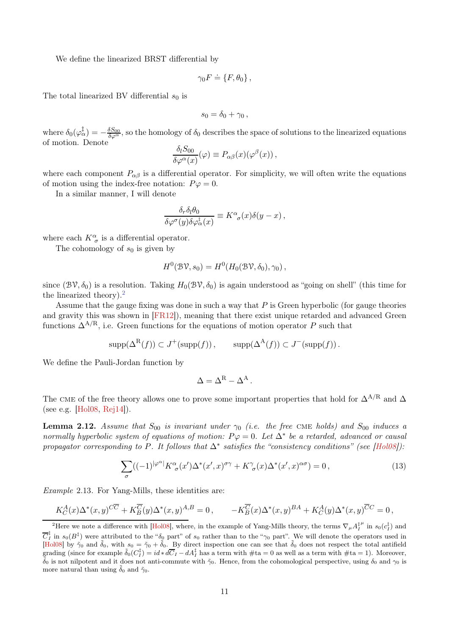We define the linearized BRST differential by

$$
\gamma_0 F \doteq \{ F, \theta_0 \},
$$

The total linearized BV differential  $s_0$  is

$$
s_0=\delta_0+\gamma_0\,,
$$

where  $\delta_0(\varphi_{\alpha}^{\ddagger}) = -\frac{\delta S_{00}}{\delta \varphi^{\alpha}}$ , so the homology of  $\delta_0$  describes the space of solutions to the linearized equations of motion. Denote

$$
\frac{\delta_l S_{00}}{\delta \varphi^{\alpha}(x)}(\varphi) \equiv P_{\alpha\beta}(x) (\varphi^{\beta}(x)),
$$

where each component  $P_{\alpha\beta}$  is a differential operator. For simplicity, we will often write the equations of motion using the index-free notation:  $P\varphi = 0$ .

In a similar manner, I will denote

$$
\frac{\delta_r \delta_l \theta_0}{\delta \varphi^{\sigma}(y) \delta \varphi_{\alpha}^{\dagger}(x)} \equiv K^{\alpha}_{\sigma}(x) \delta(y-x) ,
$$

where each  $K^{\alpha}_{\sigma}$  is a differential operator.

The cohomology of  $s_0$  is given by

$$
H^0(\mathcal{BV}, s_0) = H^0(H_0(\mathcal{BV}, \delta_0), \gamma_0),
$$

since  $(\mathcal{BV}, \delta_0)$  is a resolution. Taking  $H_0(\mathcal{BV}, \delta_0)$  is again understood as "going on shell" (this time for the linearized theory).<sup>[2](#page-10-0)</sup>

Assume that the gauge fixing was done in such a way that P is Green hyperbolic (for gauge theories and gravity this was shown in [\[FR12\]](#page-27-15)), meaning that there exist unique retarded and advanced Green functions  $\Delta^{A/R}$ , i.e. Green functions for the equations of motion operator P such that

$$
supp(\Delta^{R}(f)) \subset J^{+}(supp(f)), \qquad supp(\Delta^{A}(f)) \subset J^{-}(supp(f)).
$$

We define the Pauli-Jordan function by

$$
\Delta = \Delta^{\rm R} - \Delta^{\rm A}.
$$

The CME of the free theory allows one to prove some important properties that hold for  $\Delta^{A/R}$  and  $\Delta$ (see e.g. [\[Hol08,](#page-27-14) [Rej14\]](#page-28-8)).

**Lemma 2.12.** Assume that  $S_{00}$  is invariant under  $\gamma_0$  (i.e. the free CME holds) and  $S_{00}$  induces a normally hyperbolic system of equations of motion:  $P\varphi = 0$ . Let  $\Delta^*$  be a retarded, advanced or causal propagator corresponding to P. It follows that  $\Delta^*$  satisfies the "consistency conditions" (see [\[Hol08\]](#page-27-14)):

<span id="page-10-1"></span>
$$
\sum_{\sigma} ((-1)^{|\varphi^{\alpha}|} K^{\alpha}_{\sigma}(x') \Delta^*(x', x)^{\sigma \gamma} + K^{\gamma}_{\sigma}(x) \Delta^*(x', x)^{\alpha \sigma}) = 0, \qquad (13)
$$

Example 2.13. For Yang-Mills, these identities are:

$$
K_C^A(x)\Delta^*(x,y)^{C\overline{C}} + K_{\overline{B}}^{\overline{C}}(y)\Delta^*(x,y)^{A,B} = 0, \qquad -K_{\overline{B}}^{\overline{C}}(x)\Delta^*(x,y)^{BA} + K_C^A(y)\Delta^*(x,y)^{\overline{C}C} = 0,
$$

<span id="page-10-0"></span><sup>&</sup>lt;sup>2</sup>Here we note a difference with [\[Hol08\]](#page-27-14), where, in the example of Yang-Mills theory, the terms  $\nabla_\mu A_I^\ddagger$  $^\mu$  in  $s_0(c_I^\ddagger)$  and  $\overline{C}_I^{\ddagger}$  in  $s_0(B^{\ddagger})$  were attributed to the " $\delta_0$  part" of  $s_0$  rather than to the " $\gamma_0$  part". We will denote the operators used in [\[Hol08\]](#page-27-14) by  $\tilde{\gamma}_0$  and  $\tilde{\delta}_0$ , with  $s_0 = \tilde{\gamma}_0 + \tilde{\delta}_0$ . By direct inspection one can see that  $\tilde{\delta}_0$  does not respect the total antifield grading (since for example  $\tilde{\delta}_0(C_I^{\ddagger}) = id * d\overline{C}_I - dA_I^{\ddagger}$  has a term with  $\# \text{ta} = 0$  as well as a term with  $\# \text{ta} = 1$ ). Moreover,  $\tilde{\delta}_0$  is not nilpotent and it does not anti-commute with  $\tilde{\gamma}_0$ . Hence, from the cohomological perspective, using  $\delta_0$  and  $\gamma_0$  is more natural than using  $\delta_0$  and  $\tilde{\gamma}_0$ .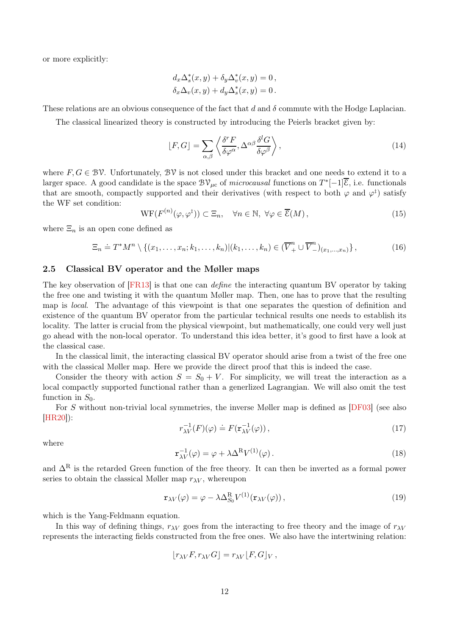or more explicitly:

$$
d_x \Delta_s^*(x, y) + \delta_y \Delta_v^*(x, y) = 0,
$$
  

$$
\delta_x \Delta_v(x, y) + d_y \Delta_s^*(x, y) = 0.
$$

These relations are an obvious consequence of the fact that d and  $\delta$  commute with the Hodge Laplacian.

The classical linearized theory is constructed by introducing the Peierls bracket given by:

<span id="page-11-3"></span>
$$
[F, G] = \sum_{\alpha, \beta} \left\langle \frac{\delta^r F}{\delta \varphi^{\alpha}}, \Delta^{\alpha \beta} \frac{\delta^l G}{\delta \varphi^{\beta}} \right\rangle, \tag{14}
$$

where  $F, G \in BV$ . Unfortunately, BV is not closed under this bracket and one needs to extend it to a larger space. A good candidate is the space  $B\mathcal{V}_{\mu c}$  of *microcausal* functions on  $T^*[-1]\overline{\mathcal{E}}$ , i.e. functionals that are smooth, compactly supported and their derivatives (with respect to both  $\varphi$  and  $\varphi^{\ddagger}$ ) satisfy the WF set condition:

$$
WF(F^{(n)}(\varphi,\varphi^{\ddagger})) \subset \Xi_n, \quad \forall n \in \mathbb{N}, \ \forall \varphi \in \overline{\mathcal{E}}(M), \tag{15}
$$

where  $\Xi_n$  is an open cone defined as

$$
\Xi_n \doteq T^*M^n \setminus \{(x_1, \ldots, x_n; k_1, \ldots, k_n) | (k_1, \ldots, k_n) \in (\overline{V}_+^n \cup \overline{V}_-^n)_{(x_1, \ldots, x_n)} \},
$$
\n(16)

### 2.5 Classical BV operator and the Møller maps

The key observation of [\[FR13\]](#page-27-16) is that one can *define* the interacting quantum BV operator by taking the free one and twisting it with the quantum Møller map. Then, one has to prove that the resulting map is local. The advantage of this viewpoint is that one separates the question of definition and existence of the quantum BV operator from the particular technical results one needs to establish its locality. The latter is crucial from the physical viewpoint, but mathematically, one could very well just go ahead with the non-local operator. To understand this idea better, it's good to first have a look at the classical case.

In the classical limit, the interacting classical BV operator should arise from a twist of the free one with the classical Møller map. Here we provide the direct proof that this is indeed the case.

Consider the theory with action  $S = S_0 + V$ . For simplicity, we will treat the interaction as a local compactly supported functional rather than a generlized Lagrangian. We will also omit the test function in  $S_0$ .

For S without non-trivial local symmetries, the inverse Møller map is defined as [\[DF03\]](#page-27-8) (see also [\[HR20\]](#page-27-21)):

<span id="page-11-0"></span>
$$
r_{\lambda V}^{-1}(F)(\varphi) \doteq F(\mathbf{r}_{\lambda V}^{-1}(\varphi)), \qquad (17)
$$

where

<span id="page-11-1"></span>
$$
\mathbf{r}_{\lambda V}^{-1}(\varphi) = \varphi + \lambda \Delta^{R} V^{(1)}(\varphi). \tag{18}
$$

and  $\Delta^R$  is the retarded Green function of the free theory. It can then be inverted as a formal power series to obtain the classical Møller map  $r_{\lambda V}$ , whereupon

<span id="page-11-2"></span>
$$
\mathbf{r}_{\lambda V}(\varphi) = \varphi - \lambda \Delta_{S_0}^{\mathcal{R}} V^{(1)}(\mathbf{r}_{\lambda V}(\varphi)), \qquad (19)
$$

which is the Yang-Feldmann equation.

In this way of defining things,  $r_{\lambda V}$  goes from the interacting to free theory and the image of  $r_{\lambda V}$ represents the interacting fields constructed from the free ones. We also have the intertwining relation:

$$
[r_{\lambda V}F, r_{\lambda V}G] = r_{\lambda V}[F, G]_V,
$$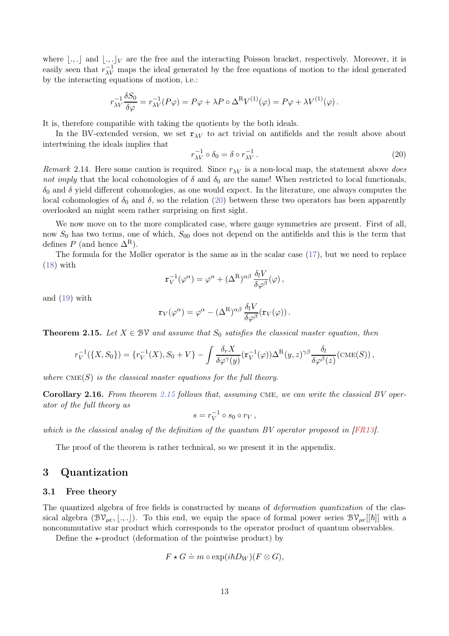where  $\lfloor .,. \rfloor$  and  $\lfloor .,. \rfloor_V$  are the free and the interacting Poisson bracket, respectively. Moreover, it is easily seen that  $r_{\lambda V}^{-1}$  maps the ideal generated by the free equations of motion to the ideal generated by the interacting equations of motion, i.e.:

$$
r_{\lambda V}^{-1} \frac{\delta S_0}{\delta \varphi} = r_{\lambda V}^{-1} (P \varphi) = P \varphi + \lambda P \circ \Delta^{\mathcal{R}} V^{(1)}(\varphi) = P \varphi + \lambda V^{(1)}(\varphi).
$$

It is, therefore compatible with taking the quotients by the both ideals.

In the BV-extended version, we set  $r_{\lambda V}$  to act trivial on antifields and the result above about intertwining the ideals implies that

<span id="page-12-0"></span>
$$
r_{\lambda V}^{-1} \circ \delta_0 = \delta \circ r_{\lambda V}^{-1}.
$$
\n<sup>(20)</sup>

Remark 2.14. Here some caution is required. Since  $r_{\lambda V}$  is a non-local map, the statement above does not imply that the local cohomologies of  $\delta$  and  $\delta_0$  are the same! When restricted to local functionals,  $\delta_0$  and  $\delta$  yield different cohomologies, as one would expect. In the literature, one always computes the local cohomologies of  $\delta_0$  and  $\delta$ , so the relation [\(20\)](#page-12-0) between these two operators has been apparently overlooked an might seem rather surprising on first sight.

We now move on to the more complicated case, where gauge symmetries are present. First of all, now  $S_0$  has two terms, one of which,  $S_{00}$  does not depend on the antifields and this is the term that defines P (and hence  $\Delta^R$ ).

The formula for the Møller operator is the same as in the scalar case [\(17\)](#page-11-0), but we need to replace  $(18)$  with

$$
\mathbf{r}_V^{-1}(\varphi^{\alpha}) = \varphi^{\alpha} + (\Delta^{\mathcal{R}})^{\alpha\beta} \frac{\delta_l V}{\delta \varphi^{\beta}}(\varphi) ,
$$

and [\(19\)](#page-11-2) with

$$
\mathbf{r}_V(\varphi^{\alpha}) = \varphi^{\alpha} - (\Delta^{\mathcal{R}})^{\alpha\beta} \frac{\delta_l V}{\delta \varphi^{\beta}}(\mathbf{r}_V(\varphi)).
$$

<span id="page-12-1"></span>**Theorem 2.15.** Let  $X \in \mathcal{BV}$  and assume that  $S_0$  satisfies the classical master equation, then

$$
r_V^{-1}(\lbrace X, S_0 \rbrace) = \lbrace r_V^{-1}(X), S_0 + V \rbrace - \int \frac{\delta_r X}{\delta \varphi^{\gamma}(y)} (\mathbf{r}_V^{-1}(\varphi)) \Delta^{\mathcal{R}}(y, z)^{\gamma \beta} \frac{\delta_l}{\delta \varphi^{\beta}(z)} (\text{CME}(S)),
$$

where  $CME(S)$  is the classical master equations for the full theory.

Corollary 2.16. From theorem [2.15](#page-12-1) follows that, assuming CME, we can write the classical BV operator of the full theory as

$$
s = r_V^{-1} \circ s_0 \circ r_V,
$$

which is the classical analog of the definition of the quantum BV operator proposed in [\[FR13\]](#page-27-16).

The proof of the theorem is rather technical, so we present it in the appendix.

# 3 Quantization

#### 3.1 Free theory

The quantized algebra of free fields is constructed by means of *deformation quantization* of the classical algebra  $(\mathcal{BV}_{\mu c}, \langle ., .\rangle)$ . To this end, we equip the space of formal power series  $\mathcal{BV}_{\mu c}[[\hbar]]$  with a noncommutative star product which corresponds to the operator product of quantum observables.

Define the  $\star$ -product (deformation of the pointwise product) by

$$
F \star G \doteq m \circ \exp(i\hbar D_W)(F \otimes G),
$$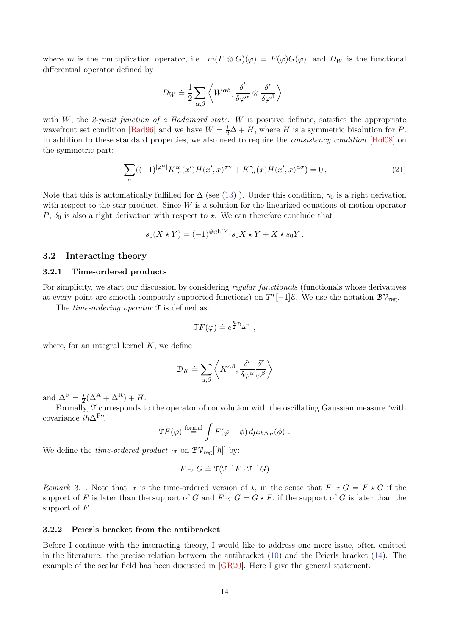where m is the multiplication operator, i.e.  $m(F \otimes G)(\varphi) = F(\varphi)G(\varphi)$ , and  $D_W$  is the functional differential operator defined by

$$
D_W \doteq \frac{1}{2} \sum_{\alpha,\beta} \left\langle W^{\alpha\beta}, \frac{\delta^l}{\delta \varphi^\alpha} \otimes \frac{\delta^r}{\delta \varphi^\beta} \right\rangle \,.
$$

with  $W$ , the 2-point function of a Hadamard state. W is positive definite, satisfies the appropriate wavefront set condition [\[Rad96\]](#page-28-9) and we have  $W = \frac{i}{2}\Delta + H$ , where H is a symmetric bisolution for P. In addition to these standard properties, we also need to require the *consistency condition* [\[Hol08\]](#page-27-14) on the symmetric part:

<span id="page-13-0"></span>
$$
\sum_{\sigma} ((-1)^{|\varphi^{\alpha}|} K^{\alpha}_{\sigma}(x')H(x',x)^{\sigma\gamma} + K^{\gamma}_{\sigma}(x)H(x',x)^{\alpha\sigma}) = 0, \qquad (21)
$$

Note that this is automatically fulfilled for  $\Delta$  (see [\(13\)](#page-10-1)). Under this condition,  $\gamma_0$  is a right derivation with respect to the star product. Since  $W$  is a solution for the linearized equations of motion operator P,  $\delta_0$  is also a right derivation with respect to  $\star$ . We can therefore conclude that

$$
s_0(X \star Y) = (-1)^{\#gh(Y)} s_0 X \star Y + X \star s_0 Y.
$$

### 3.2 Interacting theory

#### 3.2.1 Time-ordered products

For simplicity, we start our discussion by considering *regular functionals* (functionals whose derivatives at every point are smooth compactly supported functions) on  $T^*[-1]\overline{\mathcal{E}}$ . We use the notation  $\mathcal{BV}_{reg}$ .

The *time-ordering operator*  $\mathcal T$  is defined as:

$$
\Im F(\varphi) \doteq e^{\frac{\hbar}{2}\mathcal{D}_{\Delta^{\mathrm{F}}}} \ ,
$$

where, for an integral kernel  $K$ , we define

$$
\mathcal{D}_K \doteq \sum_{\alpha,\beta} \left\langle K^{\alpha\beta}, \frac{\delta^l}{\delta\varphi^{\alpha}} \frac{\delta^r}{\varphi^{\beta}} \right\rangle
$$

and  $\Delta^{\rm F} = \frac{i}{2}$  $\frac{i}{2}(\Delta^{\mathbf{A}} + \Delta^{\mathbf{R}}) + H.$ 

Formally, T corresponds to the operator of convolution with the oscillating Gaussian measure "with covariance  $i\hbar\Delta^{F}$ ",

$$
\mathcal{T}F(\varphi) \stackrel{\text{formal}}{=} \int F(\varphi - \phi) \, d\mu_{i\hbar\Delta_F}(\phi) \; .
$$

We define the *time-ordered product*  $\cdot_{\mathcal{T}}$  on  $\mathcal{BV}_{\text{reg}}[[\hbar]]$  by:

$$
F \cdot_{\mathfrak{T}} G \doteq \mathfrak{T}(\mathfrak{T}^{-1}F \cdot \mathfrak{T}^{-1}G)
$$

Remark 3.1. Note that  $\cdot$  is the time-ordered version of  $\star$ , in the sense that  $F \cdot \tau G = F \star G$  if the support of F is later than the support of G and  $F \cdot T G = G \star F$ , if the support of G is later than the support of  $F$ .

#### 3.2.2 Peierls bracket from the antibracket

Before I continue with the interacting theory, I would like to address one more issue, often omitted in the literature: the precise relation between the antibracket [\(10\)](#page-8-1) and the Peierls bracket [\(14\)](#page-11-3). The example of the scalar field has been discussed in [\[GR20\]](#page-27-18). Here I give the general statement.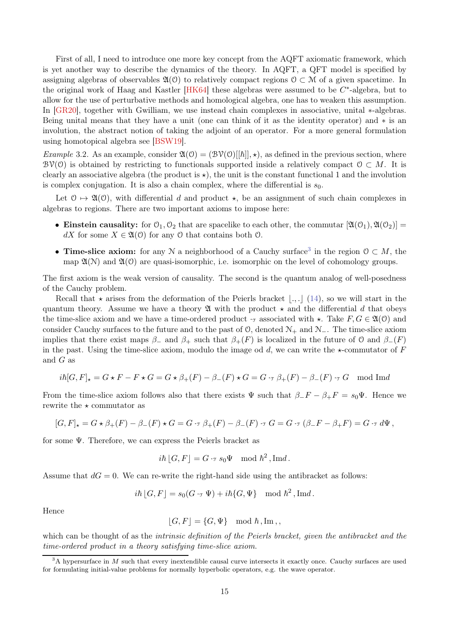First of all, I need to introduce one more key concept from the AQFT axiomatic framework, which is yet another way to describe the dynamics of the theory. In AQFT, a QFT model is specified by assigning algebras of observables  $\mathfrak{A}(0)$  to relatively compact regions  $0 \subset \mathcal{M}$  of a given spacetime. In the original work of Haag and Kastler  $[HK64]$  these algebras were assumed to be  $C^*$ -algebra, but to allow for the use of perturbative methods and homological algebra, one has to weaken this assumption. In [\[GR20\]](#page-27-18), together with Gwilliam, we use instead chain complexes in associative, unital ∗-algebras. Being unital means that they have a unit (one can think of it as the identity operator) and ∗ is an involution, the abstract notion of taking the adjoint of an operator. For a more general formulation using homotopical algebra see [\[BSW19\]](#page-26-16).

*Example* 3.2. As an example, consider  $\mathfrak{A}(0) = (\mathcal{BV}(0)[\hbar]] \star)$ , as defined in the previous section, where  $\mathcal{BV}(\mathcal{O})$  is obtained by restricting to functionals supported inside a relatively compact  $\mathcal{O} \subset M$ . It is clearly an associative algebra (the product is  $\star$ ), the unit is the constant functional 1 and the involution is complex conjugation. It is also a chain complex, where the differential is  $s_0$ .

Let  $0 \mapsto \mathfrak{A}(0)$ , with differential d and product  $\star$ , be an assignment of such chain complexes in algebras to regions. There are two important axioms to impose here:

- Einstein causality: for  $\mathcal{O}_1, \mathcal{O}_2$  that are spacelike to each other, the commutar  $[\mathfrak{A}(\mathcal{O}_1), \mathfrak{A}(\mathcal{O}_2)] =$ dX for some  $X \in \mathfrak{A}(\mathfrak{O})$  for any  $\mathfrak{O}$  that contains both  $\mathfrak{O}$ .
- Time-slice axiom: for any N a neighborhood of a Cauchy surface<sup>[3](#page-14-0)</sup> in the region  $0 \subset M$ , the map  $\mathfrak{A}(\mathcal{N})$  and  $\mathfrak{A}(\mathcal{O})$  are quasi-isomorphic, i.e. isomorphic on the level of cohomology groups.

The first axiom is the weak version of causality. The second is the quantum analog of well-posedness of the Cauchy problem.

Recall that  $\star$  arises from the deformation of the Peierls bracket  $\lfloor ., . \rfloor$  [\(14\)](#page-11-3), so we will start in the quantum theory. Assume we have a theory  $\mathfrak A$  with the product  $\star$  and the differential d that obeys the time-slice axiom and we have a time-ordered product  $\cdot_{\tau}$  associated with  $\star$ . Take  $F, G \in \mathfrak{A}(0)$  and consider Cauchy surfaces to the future and to the past of  $\mathcal{O}$ , denoted  $\mathcal{N}_+$  and  $\mathcal{N}_-$ . The time-slice axiom implies that there exist maps  $\beta_-$  and  $\beta_+$  such that  $\beta_+(F)$  is localized in the future of O and  $\beta_-(F)$ in the past. Using the time-slice axiom, modulo the image od d, we can write the  $\star$ -commutator of F and G as

$$
i\hbar[G,F]_\star = G \star F - F \star G = G \star \beta_+(F) - \beta_-(F) \star G = G \cdot \tau \beta_+(F) - \beta_-(F) \cdot \tau G \mod \text{Im}d
$$

From the time-slice axiom follows also that there exists  $\Psi$  such that  $\beta_{-}F - \beta_{+}F = s_0\Psi$ . Hence we rewrite the  $\star$  commutator as

$$
[G,F]_\star = G \star \beta_+(F) - \beta_-(F) \star G = G \cdot_\text{T} \beta_+(F) - \beta_-(F) \cdot_\text{T} G = G \cdot_\text{T} (\beta_- F - \beta_+ F) = G \cdot_\text{T} d\Psi,
$$

for some Ψ. Therefore, we can express the Peierls bracket as

$$
i\hbar
$$
  $[G, F] = G \cdot \mathcal{F} s_0 \Psi \mod \hbar^2$ ,  $\text{Im}d$ .

Assume that  $dG = 0$ . We can re-write the right-hand side using the antibracket as follows:

$$
i\hbar
$$
  $[G, F] = s_0(G \cdot \mathcal{F} \Psi) + i\hbar \{G, \Psi\}$  mod  $\hbar^2$ ,  $\text{Im}d$ .

Hence

$$
[G, F] = \{G, \Psi\} \mod \hbar, \text{Im},
$$

which can be thought of as the *intrinsic definition of the Peierls bracket, given the antibracket and the* time-ordered product in a theory satisfying time-slice axiom.

<span id="page-14-0"></span> $3A$  hypersurface in M such that every inextendible causal curve intersects it exactly once. Cauchy surfaces are used for formulating initial-value problems for normally hyperbolic operators, e.g. the wave operator.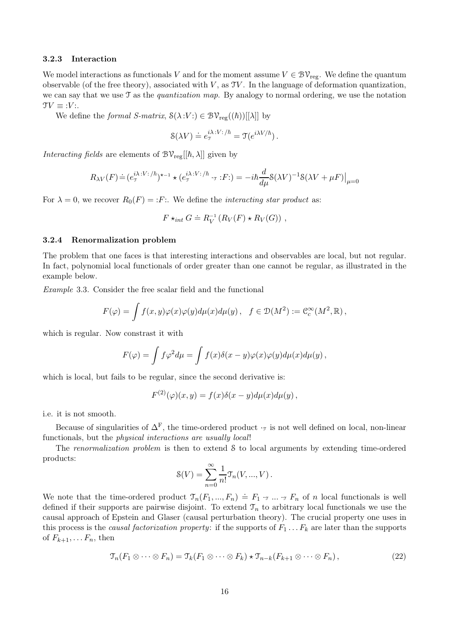#### 3.2.3 Interaction

We model interactions as functionals V and for the moment assume  $V \in \mathcal{BV}_{reg}$ . We define the quantum observable (of the free theory), associated with  $V$ , as  $TV$ . In the language of deformation quantization, we can say that we use  $\mathcal T$  as the *quantization map*. By analogy to normal ordering, we use the notation  $\mathfrak{T}V \equiv :V$ :.

We define the formal S-matrix,  $\mathcal{S}(\lambda:V: \mathcal{V}) \in \mathcal{BV}_{reg}((\hbar))[[\lambda]]$  by

$$
\mathcal{S}(\lambda V) \doteq e_{\mathcal{T}}^{i\lambda\,:\,V:\,/\hbar} = \mathcal{T}(e^{i\lambda V/\hbar})\,.
$$

Interacting fields are elements of  $\mathcal{BV}_{\text{reg}}[[\hbar,\lambda]]$  given by

$$
R_{\lambda V}(F) \doteq (e_{\mathcal{T}}^{i\lambda : V : / \hbar})^{\star - 1} \star (e_{\mathcal{T}}^{i\lambda : V : / \hbar} \cdot_{\mathcal{T}} : F : ) = -i\hbar \frac{d}{d\mu} \mathcal{S}(\lambda V)^{-1} \mathcal{S}(\lambda V + \mu F)|_{\mu = 0}
$$

For  $\lambda = 0$ , we recover  $R_0(F) = F$ : We define the *interacting star product* as:

$$
F \star_{int} G \doteq R_V^{-1} (R_V(F) \star R_V(G)),
$$

#### 3.2.4 Renormalization problem

The problem that one faces is that interesting interactions and observables are local, but not regular. In fact, polynomial local functionals of order greater than one cannot be regular, as illustrated in the example below.

Example 3.3. Consider the free scalar field and the functional

$$
F(\varphi) = \int f(x, y)\varphi(x)\varphi(y)d\mu(x)d\mu(y), \quad f \in \mathcal{D}(M^2) := \mathcal{C}_c^{\infty}(M^2, \mathbb{R}),
$$

which is regular. Now constrast it with

$$
F(\varphi) = \int f \varphi^2 d\mu = \int f(x) \delta(x - y) \varphi(x) \varphi(y) d\mu(x) d\mu(y),
$$

which is local, but fails to be regular, since the second derivative is:

$$
F^{(2)}(\varphi)(x,y) = f(x)\delta(x-y)d\mu(x)d\mu(y),
$$

i.e. it is not smooth.

Because of singularities of  $\Delta^F$ , the time-ordered product  $\cdot$ <sub>T</sub> is not well defined on local, non-linear functionals, but the physical interactions are usually local!

The *renormalization problem* is then to extend S to local arguments by extending time-ordered products:

$$
\mathcal{S}(V) = \sum_{n=0}^{\infty} \frac{1}{n!} \mathcal{T}_n(V, ..., V).
$$

We note that the time-ordered product  $\mathcal{T}_n(F_1, ..., F_n) \doteq F_1 \cdot_{\mathcal{T}} ... \cdot_{\mathcal{T}} F_n$  of n local functionals is well defined if their supports are pairwise disjoint. To extend  $\mathcal{T}_n$  to arbitrary local functionals we use the causal approach of Epstein and Glaser (causal perturbation theory). The crucial property one uses in this process is the *causal factorization property*: if the supports of  $F_1 \ldots F_k$  are later than the supports of  $F_{k+1}, \ldots F_n$ , then

$$
\mathfrak{T}_n(F_1 \otimes \cdots \otimes F_n) = \mathfrak{T}_k(F_1 \otimes \cdots \otimes F_k) \star \mathfrak{T}_{n-k}(F_{k+1} \otimes \cdots \otimes F_n), \qquad (22)
$$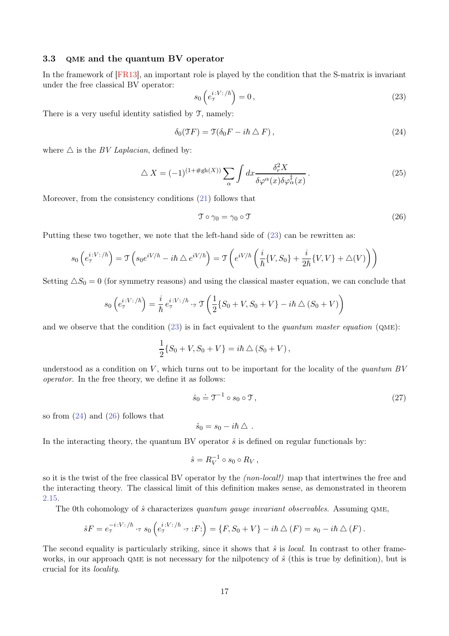# 3.3 QME and the quantum BV operator

In the framework of [\[FR13\]](#page-27-16), an important role is played by the condition that the S-matrix is invariant under the free classical BV operator:

<span id="page-16-0"></span>
$$
s_0\left(e_{\tau}^{i\cdot V:\n}\right) = 0,\t\t(23)
$$

There is a very useful identity satisfied by T, namely:

<span id="page-16-1"></span>
$$
\delta_0(\mathfrak{T}F) = \mathfrak{T}(\delta_0 F - i\hbar \bigtriangleup F), \qquad (24)
$$

where  $\triangle$  is the *BV Laplacian*, defined by:

<span id="page-16-4"></span>
$$
\triangle X = (-1)^{(1+\#\text{gh}(X))} \sum_{\alpha} \int dx \frac{\delta_r^2 X}{\delta \varphi^{\alpha}(x) \delta \varphi_{\alpha}^{\dagger}(x)}.
$$
\n(25)

Moreover, from the consistency conditions [\(21\)](#page-13-0) follows that

<span id="page-16-2"></span>
$$
\mathcal{T} \circ \gamma_0 = \gamma_0 \circ \mathcal{T} \tag{26}
$$

Putting these two together, we note that the left-hand side of [\(23\)](#page-16-0) can be rewritten as:

$$
s_0\left(e^{i:V:\/\hbar}_{\mathcal{I}}\right) = \mathcal{T}\left(s_0e^{iV/\hbar} - i\hbar \bigtriangleup e^{iV/\hbar}\right) = \mathcal{T}\left(e^{iV/\hbar}\left(\frac{i}{\hbar}\{V, S_0\} + \frac{i}{2\hbar}\{V, V\} + \bigtriangleup(V)\right)\right)
$$

Setting  $\Delta S_0 = 0$  (for symmetry reasons) and using the classical master equation, we can conclude that

$$
s_0\left(e_{\mathcal{T}}^{i:V:\hbar}\right) = \frac{i}{\hbar}e_{\mathcal{T}}^{i:V:\hbar} \cdot_{\mathcal{T}} \mathcal{T}\left(\frac{1}{2}\{S_0 + V, S_0 + V\} - i\hbar \bigtriangleup (S_0 + V)\right)
$$

and we observe that the condition  $(23)$  is in fact equivalent to the *quantum master equation* ( $QME$ ):

$$
\frac{1}{2}\{S_0 + V, S_0 + V\} = i\hbar \bigtriangleup (S_0 + V),
$$

understood as a condition on V, which turns out to be important for the locality of the quantum  $BV$ operator. In the free theory, we define it as follows:

<span id="page-16-3"></span>
$$
\hat{s}_0 \doteq \mathfrak{I}^{-1} \circ s_0 \circ \mathfrak{I},\tag{27}
$$

so from  $(24)$  and  $(26)$  follows that

$$
\hat{s}_0 = s_0 - i\hbar \bigtriangleup.
$$

In the interacting theory, the quantum BV operator  $\hat{s}$  is defined on regular functionals by:

$$
\hat{s} = R_V^{-1} \circ s_0 \circ R_V,
$$

so it is the twist of the free classical BV operator by the (non-local!) map that intertwines the free and the interacting theory. The classical limit of this definition makes sense, as demonstrated in theorem [2.15.](#page-12-1)

The 0th cohomology of  $\hat{s}$  characterizes quantum gauge invariant observables. Assuming QME,

$$
\hat{s}F = e_{\tau}^{-i\cdot V:\prime\hbar} \cdot_{\tau} s_0 \left( e_{\tau}^{i\cdot V:\prime\hbar} \cdot_{\tau} :F : \right) = \{ F, S_0 + V \} - i\hbar \bigtriangleup (F) = s_0 - i\hbar \bigtriangleup (F) .
$$

The second equality is particularly striking, since it shows that  $\hat{s}$  is *local*. In contrast to other frameworks, in our approach QME is not necessary for the nilpotency of  $\hat{s}$  (this is true by definition), but is crucial for its locality.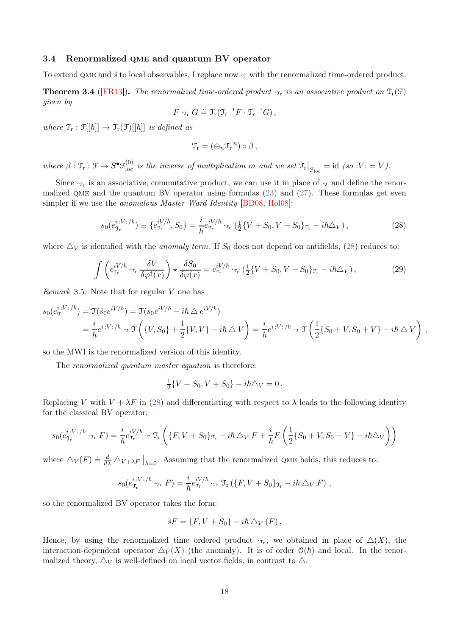### 3.4 Renormalized qme and quantum BV operator

To extend QME and  $\hat{s}$  to local observables, I replace now  $\cdot_{\tau}$  with the renormalized time-ordered product.

**Theorem 3.4** ([\[FR13\]](#page-27-16)). The renormalized time-ordered product  $\cdot_{\text{Tr}}$  is an associative product on  $\mathcal{T}_r(\mathcal{F})$ given by

$$
F\cdot_{\mathfrak{T}_{\mathbf{r}}} G \doteq \mathfrak{T}_{\mathbf{r}}(\mathfrak{T}_{\mathbf{r}}^{-1}F\cdot \mathfrak{T}_{\mathbf{r}}^{-1}G),
$$

where  $\mathfrak{T}_{\rm r} : \mathfrak{F}[[\hbar]] \to \mathfrak{T}_{\rm r}(\mathfrak{F})[[\hbar]]$  is defined as

$$
\mathfrak{T}_{r}=(\oplus_{n}\mathfrak{T}_{r}^{n})\circ\beta\,,
$$

where  $\beta : \mathfrak{T}_{r} : \mathfrak{F} \to S^{\bullet} \mathfrak{F}_{\text{loc}}^{(0)}$  is the inverse of multiplication m and we set  $\mathfrak{T}_{r}|_{\mathfrak{F}_{\text{loc}}} = \text{id}$  (so  $V := V$ ).

Since  $\cdot_{\tau_r}$  is an associative, commutative product, we can use it in place of  $\cdot_{\tau}$  and define the renormalized QME and the quantum BV operator using formulas  $(23)$  and  $(27)$ . These formulas get even simpler if we use the anomalous Master Ward Identity [\[BD08,](#page-26-6) [Hol08\]](#page-27-14):

<span id="page-17-0"></span>
$$
s_0(e_{\tau_r}^{i:V;/\hbar}) \equiv \{e_{\tau_r}^{iV/\hbar}, S_0\} = \frac{i}{\hbar} e_{\tau_r}^{iV/\hbar} \cdot_{\tau_r} (\frac{1}{2} \{V + S_0, V + S_0\}_{\tau_r} - i\hbar \Delta_V), \tag{28}
$$

where  $\Delta_V$  is identified with the *anomaly term*. If  $S_0$  does not depend on antifields, [\(28\)](#page-17-0) reduces to:

<span id="page-17-1"></span>
$$
\int \left( e_{\tau_{\rm r}}^{iV/\hbar} \cdot_{\tau_{\rm r}} \frac{\delta V}{\delta \varphi^{\ddagger}(x)} \right) \star \frac{\delta S_0}{\delta \varphi(x)} = e_{\tau_{\rm r}}^{iV/\hbar} \cdot_{\tau_{\rm r}} \left( \frac{1}{2} \{ V + S_0, V + S_0 \}_{\tau_{\rm r}} - i\hbar \Delta_V \right), \tag{29}
$$

Remark 3.5. Note that for regular V one has

$$
s_0(e^{i:V:\hbar})_{\mathfrak{I}} = \mathfrak{T}(\hat{s}_0 e^{iV/\hbar}) = \mathfrak{T}(s_0 e^{iV/\hbar} - i\hbar \triangle e^{iV/\hbar})
$$
  
=  $\frac{i}{\hbar} e^{i:V:\hbar} \cdot \mathfrak{T} \left( \{V, S_0\} + \frac{1}{2} \{V, V\} - i\hbar \triangle V \right) = \frac{i}{\hbar} e^{i:V:\hbar} \cdot \mathfrak{T} \left( \frac{1}{2} \{S_0 + V, S_0 + V\} - i\hbar \triangle V \right)$ ,

so the MWI is the renormalized version of this identity.

The renormalized quantum master equation is therefore:

$$
\frac{1}{2}\{V + S_0, V + S_0\} - i\hbar\Delta_V = 0.
$$

Replacing V with  $V + \lambda F$  in [\(28\)](#page-17-0) and differentiating with respect to  $\lambda$  leads to the following identity for the classical BV operator:

$$
s_0(e^{i:V:\/\hbar}_{\mathbf{T}_\mathbf{r}}\cdot\mathbf{r}_\mathbf{r}) = \frac{i}{\hbar}e^{iV/\hbar}_{\mathbf{T}_\mathbf{r}}\cdot\mathbf{r} \mathbf{T}_\mathbf{r}\left(\{F,V+S_0\}_{\mathbf{T}_\mathbf{r}}-i\hbar\bigtriangleup_V F + \frac{i}{\hbar}F\left(\frac{1}{2}\{S_0+V,S_0+V\}-i\hbar\bigtriangleup_V\right)\right)
$$

where  $\Delta_V(F) \doteq \frac{d}{d\lambda} \Delta_{V+\lambda F}\big|_{\lambda=0}$ . Assuming that the renormalized QME holds, this reduces to:

$$
s_0(e_{\mathfrak{T}_{\mathrm{r}}}^{i:V:\,/\hbar}\cdot_{\mathfrak{T}_{\mathrm{r}}} F)=\frac{i}{\hbar}e_{\mathfrak{T}_{\mathrm{r}}}^{iV/\hbar}\cdot_{\mathfrak{T}_{\mathrm{r}}}\mathfrak{T}_{\mathrm{r}}\left(\{F,V+S_0\}_{\mathfrak{T}_{\mathrm{r}}}-i\hbar\bigtriangleup_V F\right)\,,
$$

so the renormalized BV operator takes the form:

$$
\hat{s}F = \{F, V + S_0\} - i\hbar \,\triangle_V (F) \,,
$$

Hence, by using the renormalized time ordered product  $\tau_r$ , we obtained in place of  $\Delta(X)$ , the interaction-dependent operator  $\Delta_V(X)$  (the anomaly). It is of order  $\mathcal{O}(\hbar)$  and local. In the renormalized theory,  $\Delta_V$  is well-defined on local vector fields, in contrast to  $\Delta$ .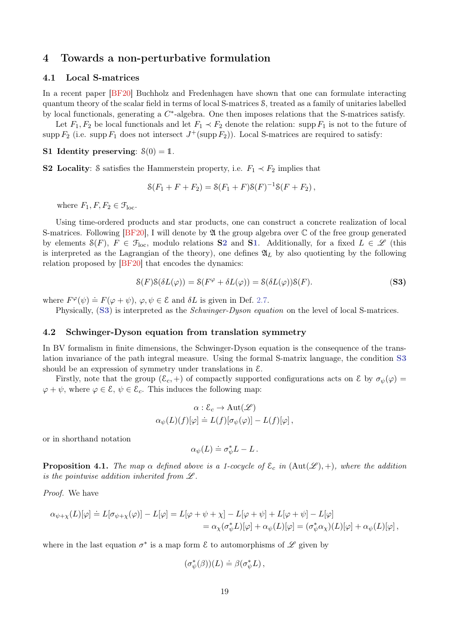# 4 Towards a non-perturbative formulation

### 4.1 Local S-matrices

In a recent paper [\[BF20\]](#page-26-11) Buchholz and Fredenhagen have shown that one can formulate interacting quantum theory of the scalar field in terms of local S-matrices S, treated as a family of unitaries labelled by local functionals, generating a  $C^*$ -algebra. One then imposes relations that the S-matrices satisfy.

<span id="page-18-1"></span>Let  $F_1, F_2$  be local functionals and let  $F_1 \prec F_2$  denote the relation: supp  $F_1$  is not to the future of supp  $F_2$  (i.e. supp  $F_1$  does not intersect  $J^+(\text{supp } F_2)$ ). Local S-matrices are required to satisfy:

## <span id="page-18-0"></span>S1 Identity preserving:  $\mathcal{S}(0) = 1$ .

S2 Locality: S satisfies the Hammerstein property, i.e.  $F_1 \prec F_2$  implies that

$$
\mathcal{S}(F_1 + F + F_2) = \mathcal{S}(F_1 + F)\mathcal{S}(F)^{-1}\mathcal{S}(F + F_2),
$$

where  $F_1, F, F_2 \in \mathcal{F}_{loc}$ .

Using time-ordered products and star products, one can construct a concrete realization of local S-matrices. Following  $[BF20]$ , I will denote by  $\mathfrak A$  the group algebra over  $\mathbb C$  of the free group generated by elements  $\mathcal{S}(F)$ ,  $F \in \mathcal{F}_{loc}$ , modulo relations **[S2](#page-18-0)** and **[S1](#page-18-1)**. Additionally, for a fixed  $L \in \mathcal{L}$  (this is interpreted as the Lagrangian of the theory), one defines  $\mathfrak{A}_L$  by also quotienting by the following relation proposed by [\[BF20\]](#page-26-11) that encodes the dynamics:

<span id="page-18-2"></span>
$$
\mathcal{S}(F)\mathcal{S}(\delta L(\varphi)) = \mathcal{S}(F^{\varphi} + \delta L(\varphi)) = \mathcal{S}(\delta L(\varphi))\mathcal{S}(F). \tag{S3}
$$

where  $F^{\varphi}(\psi) \doteq F(\varphi + \psi), \varphi, \psi \in \mathcal{E}$  and  $\delta L$  is given in Def. [2.7.](#page-4-1)

Physically, ([S3](#page-18-2)) is interpreted as the Schwinger-Dyson equation on the level of local S-matrices.

#### 4.2 Schwinger-Dyson equation from translation symmetry

In BV formalism in finite dimensions, the Schwinger-Dyson equation is the consequence of the translation invariance of the path integral measure. Using the formal S-matrix language, the condition [S3](#page-18-2) should be an expression of symmetry under translations in E.

Firstly, note that the group  $(\mathcal{E}_c, +)$  of compactly supported configurations acts on  $\mathcal{E}$  by  $\sigma_{\psi}(\varphi)$  =  $\varphi + \psi$ , where  $\varphi \in \mathcal{E}, \psi \in \mathcal{E}_c$ . This induces the following map:

$$
\alpha : \mathcal{E}_c \to \text{Aut}(\mathscr{L})
$$
  

$$
\alpha_{\psi}(L)(f)[\varphi] \doteq L(f)[\sigma_{\psi}(\varphi)] - L(f)[\varphi],
$$

or in shorthand notation

$$
\alpha_{\psi}(L) \doteq \sigma_{\psi}^* L - L \, .
$$

**Proposition 4.1.** The map  $\alpha$  defined above is a 1-cocycle of  $\mathcal{E}_c$  in  $(\text{Aut}(\mathcal{L}), +)$ , where the addition is the pointwise addition inherited from  $\mathscr L$ .

Proof. We have

$$
\alpha_{\psi+\chi}(L)[\varphi] \doteq L[\sigma_{\psi+\chi}(\varphi)] - L[\varphi] = L[\varphi+\psi+\chi] - L[\varphi+\psi] + L[\varphi+\psi] - L[\varphi]
$$
  
=  $\alpha_{\chi}(\sigma_{\psi}^{*}L)[\varphi] + \alpha_{\psi}(L)[\varphi] = (\sigma_{\psi}^{*}\alpha_{\chi})(L)[\varphi] + \alpha_{\psi}(L)[\varphi],$ 

where in the last equation  $\sigma^*$  is a map form  $\mathcal E$  to automorphisms of  $\mathscr L$  given by

$$
(\sigma^*_{\psi}(\beta))(L) \doteq \beta(\sigma^*_{\psi}L),
$$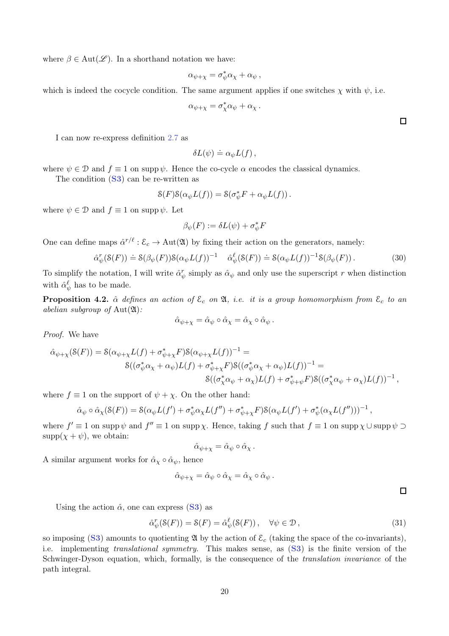where  $\beta \in \text{Aut}(\mathscr{L})$ . In a shorthand notation we have:

$$
\alpha_{\psi+\chi} = \sigma_{\psi}^* \alpha_{\chi} + \alpha_{\psi} ,
$$

which is indeed the cocycle condition. The same argument applies if one switches  $\chi$  with  $\psi$ , i.e.

$$
\alpha_{\psi+\chi} = \sigma^*_{\chi}\alpha_{\psi} + \alpha_{\chi}.
$$

I can now re-express definition [2.7](#page-4-1) as

$$
\delta L(\psi) \doteq \alpha_{\psi} L(f) ,
$$

where  $\psi \in \mathcal{D}$  and  $f \equiv 1$  on supp  $\psi$ . Hence the co-cycle  $\alpha$  encodes the classical dynamics. The condition ([S3](#page-18-2)) can be re-written as

$$
\mathcal{S}(F)\mathcal{S}(\alpha_{\psi}L(f)) = \mathcal{S}(\sigma_{\psi}^*F + \alpha_{\psi}L(f)).
$$

where  $\psi \in \mathcal{D}$  and  $f \equiv 1$  on supp  $\psi$ . Let

$$
\beta_{\psi}(F) := \delta L(\psi) + \sigma_{\psi}^* F
$$

One can define maps  $\hat{\alpha}^{r/\ell} : \mathcal{E}_c \to \text{Aut}(\mathfrak{A})$  by fixing their action on the generators, namely:

$$
\hat{\alpha}_{\psi}^r(\mathcal{S}(F)) \doteq \mathcal{S}(\beta_{\psi}(F))\mathcal{S}(\alpha_{\psi}L(f))^{-1} \quad \hat{\alpha}_{\psi}^{\ell}(\mathcal{S}(F)) \doteq \mathcal{S}(\alpha_{\psi}L(f))^{-1}\mathcal{S}(\beta_{\psi}(F)). \tag{30}
$$

To simplify the notation, I will write  $\hat{\alpha}_{\psi}^r$  simply as  $\hat{\alpha}_{\psi}$  and only use the superscript r when distinction with  $\hat{\alpha}_{\psi}^{\ell}$  has to be made.

**Proposition 4.2.**  $\hat{\alpha}$  defines an action of  $\mathcal{E}_c$  on  $\mathfrak{A}$ , *i.e.* it is a group homomorphism from  $\mathcal{E}_c$  to an abelian subgroup of  $Aut(2\mathfrak{l})$ :

$$
\hat{\alpha}_{\psi+\chi} = \hat{\alpha}_{\psi} \circ \hat{\alpha}_{\chi} = \hat{\alpha}_{\chi} \circ \hat{\alpha}_{\psi} .
$$

Proof. We have

$$
\hat{\alpha}_{\psi+\chi}(S(F)) = S(\alpha_{\psi+\chi}L(f) + \sigma_{\psi+\chi}^*F)S(\alpha_{\psi+\chi}L(f))^{-1} =
$$
  
 
$$
S((\sigma_{\psi}^*\alpha_{\chi} + \alpha_{\psi})L(f) + \sigma_{\psi+\chi}^*F)S((\sigma_{\psi}^*\alpha_{\chi} + \alpha_{\psi})L(f))^{-1} =
$$
  
 
$$
S((\sigma_{\chi}^*\alpha_{\psi} + \alpha_{\chi})L(f) + \sigma_{\psi+\psi}^*F)S((\sigma_{\chi}^*\alpha_{\psi} + \alpha_{\chi})L(f))^{-1},
$$

where  $f \equiv 1$  on the support of  $\psi + \chi$ . On the other hand:

$$
\hat{\alpha}_{\psi} \circ \hat{\alpha}_{\chi}(\mathcal{S}(F)) = \mathcal{S}(\alpha_{\psi}L(f') + \sigma_{\psi}^* \alpha_{\chi}L(f'') + \sigma_{\psi+\chi}^* F)\mathcal{S}(\alpha_{\psi}L(f') + \sigma_{\psi}^*(\alpha_{\chi}L(f'')))^{-1},
$$

where  $f' \equiv 1$  on supp  $\psi$  and  $f'' \equiv 1$  on supp  $\chi$ . Hence, taking f such that  $f \equiv 1$  on supp  $\chi \cup$  supp  $\psi \supset$  $supp(\chi + \psi)$ , we obtain:

$$
\hat{\alpha}_{\psi+\chi} = \hat{\alpha}_{\psi} \circ \hat{\alpha}_{\chi}.
$$

A similar argument works for  $\hat{\alpha}_{\chi} \circ \hat{\alpha}_{\psi}$ , hence

$$
\hat{\alpha}_{\psi+\chi} = \hat{\alpha}_{\psi} \circ \hat{\alpha}_{\chi} = \hat{\alpha}_{\chi} \circ \hat{\alpha}_{\psi} .
$$

 $\Box$ 

Using the action  $\hat{\alpha}$ , one can express ([S3](#page-18-2)) as

<span id="page-19-0"></span>
$$
\hat{\alpha}_{\psi}^r(\mathcal{S}(F)) = \mathcal{S}(F) = \hat{\alpha}_{\psi}^{\ell}(\mathcal{S}(F)), \quad \forall \psi \in \mathcal{D}, \tag{31}
$$

so imposing ([S3](#page-18-2)) amounts to quotienting  $\mathfrak A$  by the action of  $\mathcal E_c$  (taking the space of the co-invariants), i.e. implementing translational symmetry. This makes sense, as ([S3](#page-18-2)) is the finite version of the Schwinger-Dyson equation, which, formally, is the consequence of the translation invariance of the path integral.

 $\Box$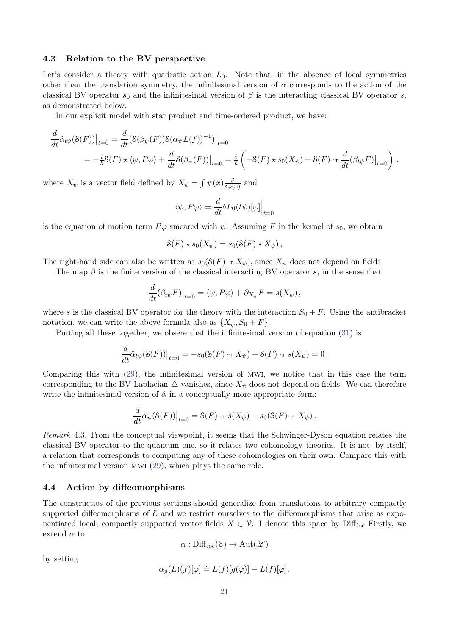### 4.3 Relation to the BV perspective

Let's consider a theory with quadratic action  $L_0$ . Note that, in the absence of local symmetries other than the translation symmetry, the infinitesimal version of  $\alpha$  corresponds to the action of the classical BV operator  $s_0$  and the infinitesimal version of  $\beta$  is the interacting classical BV operator s, as demonstrated below.

In our explicit model with star product and time-ordered product, we have:

$$
\frac{d}{dt}\hat{\alpha}_{t\psi}(S(F))\big|_{t=0} = \frac{d}{dt}(S(\beta_{\psi}(F))S(\alpha_{\psi}L(f))^{-1})\big|_{t=0}
$$
\n
$$
= -\frac{i}{\hbar}S(F) \star \langle \psi, P\varphi \rangle + \frac{d}{dt}S(\beta_{\psi}(F))\big|_{t=0} = \frac{i}{\hbar}\left(-S(F) \star s_0(X_{\psi}) + S(F) \cdot \tau \frac{d}{dt}(\beta_{t\psi}F)\big|_{t=0}\right).
$$

where  $X_{\psi}$  is a vector field defined by  $X_{\psi} = \int \psi(x) \frac{\delta}{\delta \omega(x)}$  $\frac{\delta}{\delta \varphi(x)}$  and

$$
\langle \psi, P\varphi \rangle \doteq \frac{d}{dt} \delta L_0(t\psi) [\varphi] \Big|_{t=0}
$$

is the equation of motion term  $P\varphi$  smeared with  $\psi$ . Assuming F in the kernel of  $s_0$ , we obtain

$$
\mathcal{S}(F) \star s_0(X_{\psi}) = s_0(\mathcal{S}(F) \star X_{\psi}),
$$

The right-hand side can also be written as  $s_0(S(F) \cdot_\mathcal{T} X_\psi)$ , since  $X_\psi$  does not depend on fields.

The map  $\beta$  is the finite version of the classical interacting BV operator s, in the sense that

$$
\frac{d}{dt}(\beta_{t\psi}F)\big|_{t=0}=\langle \psi, P\varphi\rangle+\partial_{X_\psi}F=s(X_\psi)\,,
$$

where s is the classical BV operator for the theory with the interaction  $S_0 + F$ . Using the antibracket notation, we can write the above formula also as  $\{X_{\psi}, S_0 + F\}.$ 

Putting all these together, we obsere that the infinitesimal version of equation [\(31\)](#page-19-0) is

$$
\frac{d}{dt}\hat{\alpha}_{t\psi}(\mathcal{S}(F))\big|_{t=0} = -s_0(\mathcal{S}(F) \cdot \mathcal{F} X_{\psi}) + \mathcal{S}(F) \cdot \mathcal{F} s(X_{\psi}) = 0.
$$

Comparing this with [\(29\)](#page-17-1), the infinitesimal version of mwi, we notice that in this case the term corresponding to the BV Laplacian  $\triangle$  vanishes, since  $X_{\psi}$  does not depend on fields. We can therefore write the infinitesimal version of  $\hat{\alpha}$  in a conceptually more appropriate form:

$$
\frac{d}{dt}\hat{\alpha}_{\psi}(\mathcal{S}(F))\big|_{t=0} = \mathcal{S}(F) \cdot \tau \hat{s}(X_{\psi}) - s_0(\mathcal{S}(F) \cdot \tau X_{\psi}).
$$

Remark 4.3. From the conceptual viewpoint, it seems that the Schwinger-Dyson equation relates the classical BV operator to the quantum one, so it relates two cohomology theories. It is not, by itself, a relation that corresponds to computing any of these cohomologies on their own. Compare this with the infinitesimal version mwi [\(29\)](#page-17-1), which plays the same role.

#### 4.4 Action by diffeomorphisms

The constructios of the previous sections should generalize from translations to arbitrary compactly supported diffeomorphisms of  $\mathcal E$  and we restrict ourselves to the diffeomorphisms that arise as exponentiated local, compactly supported vector fields  $X \in \mathcal{V}$ . I denote this space by Diff<sub>loc</sub> Firstly, we extend  $\alpha$  to

$$
\alpha: \mathrm{Diff}_{\mathrm{loc}}(\mathcal{E}) \to \mathrm{Aut}(\mathscr{L})
$$

by setting

$$
\alpha_g(L)(f)[\varphi] \doteq L(f)[g(\varphi)] - L(f)[\varphi].
$$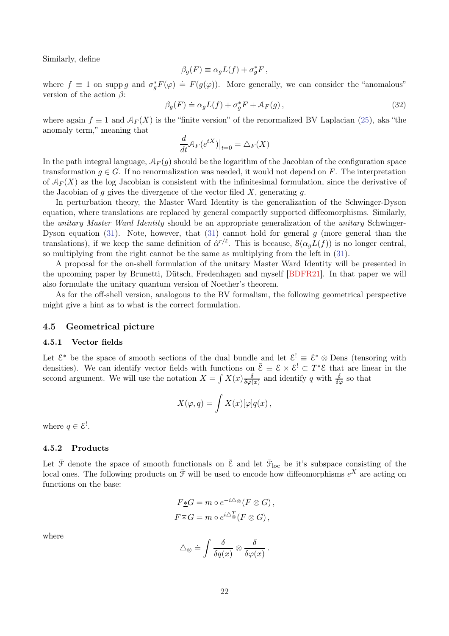Similarly, define

$$
\beta_g(F) \equiv \alpha_g L(f) + \sigma_g^* F \,,
$$

where  $f \equiv 1$  on supp g and  $\sigma_g^* F(\varphi) \doteq F(g(\varphi))$ . More generally, we can consider the "anomalous" version of the action  $\beta$ :

$$
\beta_g(F) \doteq \alpha_g L(f) + \sigma_g^* F + \mathcal{A}_F(g), \qquad (32)
$$

where again  $f \equiv 1$  and  $\mathcal{A}_F(X)$  is the "finite version" of the renormalized BV Laplacian [\(25\)](#page-16-4), aka "the anomaly term," meaning that

$$
\frac{d}{dt}A_F(e^{tX})\big|_{t=0} = \triangle_F(X)
$$

In the path integral language,  $\mathcal{A}_F(q)$  should be the logarithm of the Jacobian of the configuration space transformation  $g \in G$ . If no renormalization was needed, it would not depend on F. The interpretation of  $\mathcal{A}_F(X)$  as the log Jacobian is consistent with the infinitesimal formulation, since the derivative of the Jacobian of g gives the divergence of the vector filed  $X$ , generating  $g$ .

In perturbation theory, the Master Ward Identity is the generalization of the Schwinger-Dyson equation, where translations are replaced by general compactly supported diffeomorphisms. Similarly, the unitary Master Ward Identity should be an appropriate generalization of the unitary Schwinger-Dyson equation [\(31\)](#page-19-0). Note, however, that (31) cannot hold for general  $q$  (more general than the translations), if we keep the same definition of  $\hat{\alpha}^{r/\ell}$ . This is because,  $\mathcal{S}(\alpha_g L(f))$  is no longer central, so multiplying from the right cannot be the same as multiplying from the left in [\(31\)](#page-19-0).

A proposal for the on-shell formulation of the unitary Master Ward Identity will be presented in the upcoming paper by Brunetti, Dütsch, Fredenhagen and myself [\[BDFR21\]](#page-26-17). In that paper we will also formulate the unitary quantum version of Noether's theorem.

As for the off-shell version, analogous to the BV formalism, the following geometrical perspective might give a hint as to what is the correct formulation.

### 4.5 Geometrical picture

#### 4.5.1 Vector fields

Let  $\mathcal{E}^*$  be the space of smooth sections of the dual bundle and let  $\mathcal{E}^! \equiv \mathcal{E}^* \otimes$  Dens (tensoring with densities). We can identify vector fields with functions on  $\bar{\mathcal{E}} = \mathcal{E} \times \mathcal{E}^! \subset T^* \mathcal{E}$  that are linear in the second argument. We will use the notation  $X = \int X(x) \frac{\delta}{\delta \omega}$  $\frac{\delta}{\delta \varphi(x)}$  and identify q with  $\frac{\delta}{\delta \varphi}$  so that

$$
X(\varphi, q) = \int X(x)[\varphi]q(x),
$$

where  $q \in \mathcal{E}^!$ .

### 4.5.2 Products

Let  $\bar{\mathcal{F}}$  denote the space of smooth functionals on  $\bar{\mathcal{E}}$  and let  $\bar{\mathcal{F}}_{\text{loc}}$  be it's subspace consisting of the local ones. The following products on  $\bar{\mathcal{F}}$  will be used to encode how diffeomorphisms  $e^X$  are acting on functions on the base:

$$
F \underline{\ast} G = m \circ e^{-i\triangle \otimes} (F \otimes G),
$$
  

$$
F \overline{\ast} G = m \circ e^{i\triangle \overline{\otimes}} (F \otimes G),
$$

where

$$
\triangle_{\otimes} \doteq \int \frac{\delta}{\delta q(x)} \otimes \frac{\delta}{\delta \varphi(x)}.
$$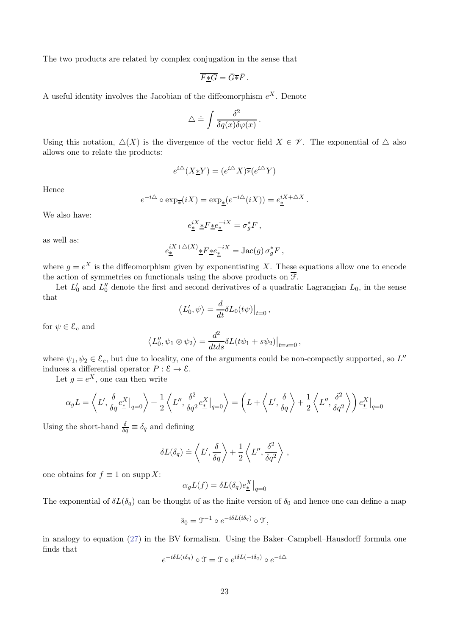The two products are related by complex conjugation in the sense that

$$
\overline{F*G} = \overline{G*F}.
$$

A useful identity involves the Jacobian of the diffeomorphism  $e^X$ . Denote

$$
\triangle \doteq \int \frac{\delta^2}{\delta q(x)\delta \varphi(x)}.
$$

Using this notation,  $\Delta(X)$  is the divergence of the vector field  $X \in \mathscr{V}$ . The exponential of  $\Delta$  also allows one to relate the products:

$$
e^{i\triangle}(X \underline{\ast} Y) = (e^{i\triangle} X) \overline{\ast} (e^{i\triangle} Y)
$$

Hence

$$
e^{-i\Delta} \circ \exp_{\overline{\mathbf{F}}}(iX) = \exp_{\underline{\mathbf{F}}}(e^{-i\Delta}(iX)) = e_{\underline{\mathbf{F}}}^{iX + \Delta X}
$$

.

We also have:

$$
e^{iX}_{\underline{*}}\underline{*}F\underline{*}e^{-iX}_{\underline{*}}=\sigma^*_gF\,,
$$

as well as:

$$
e_{\underline{\ast}}^{iX+\triangle(X)}\underline{\ast}F\underline{\ast}e_{\underline{\ast}}^{-iX}=\mathrm{Jac}(g)\,\sigma_g^*F\,,
$$

where  $g = e^X$  is the diffeomorphism given by exponentiating X. These equations allow one to encode the action of symmetries on functionals using the above products on  $\overline{\mathcal{F}}$ .

Let  $L'_0$  and  $L''_0$  denote the first and second derivatives of a quadratic Lagrangian  $L_0$ , in the sense that

$$
\langle L'_0, \psi \rangle = \frac{d}{dt} \delta L_0(t\psi) \big|_{t=0},
$$

for  $\psi \in \mathcal{E}_c$  and

$$
\langle L_0'', \psi_1 \otimes \psi_2 \rangle = \frac{d^2}{dt ds} \delta L(t\psi_1 + s\psi_2) \big|_{t=s=0},
$$

where  $\psi_1, \psi_2 \in \mathcal{E}_c$ , but due to locality, one of the arguments could be non-compactly supported, so  $L''$ induces a differential operator  $P : \mathcal{E} \to \mathcal{E}$ .

Let  $g = e^X$ , one can then write

$$
\alpha_g L = \left\langle L', \frac{\delta}{\delta q} e^X_{\pm} \big|_{q=0} \right\rangle + \frac{1}{2} \left\langle L'', \frac{\delta^2}{\delta q^2} e^X_{\pm} \big|_{q=0} \right\rangle = \left( L + \left\langle L', \frac{\delta}{\delta q} \right\rangle + \frac{1}{2} \left\langle L'', \frac{\delta^2}{\delta q^2} \right\rangle \right) e^X_{\pm} \big|_{q=0}
$$

Using the short-hand  $\frac{\delta}{\delta q} \equiv \delta_q$  and defining

$$
\delta L(\delta_q) \doteq \left\langle L', \frac{\delta}{\delta q} \right\rangle + \frac{1}{2} \left\langle L'', \frac{\delta^2}{\delta q^2} \right\rangle ,
$$

one obtains for  $f \equiv 1$  on supp X:

$$
\alpha_g L(f) = \delta L(\delta_q) e^X_{\underline{\ast}} \big|_{q=0}
$$

The exponential of  $\delta L(\delta_q)$  can be thought of as the finite version of  $\delta_0$  and hence one can define a map

$$
\tilde{s}_0 = \mathfrak{I}^{-1} \circ e^{-i\delta L(i\delta_q)} \circ \mathfrak{T},
$$

in analogy to equation [\(27\)](#page-16-3) in the BV formalism. Using the Baker–Campbell–Hausdorff formula one finds that

$$
e^{-i\delta L(i\delta_q)} \circ \mathfrak{T} = \mathfrak{T} \circ e^{i\delta L(-i\delta_q)} \circ e^{-i\Delta}
$$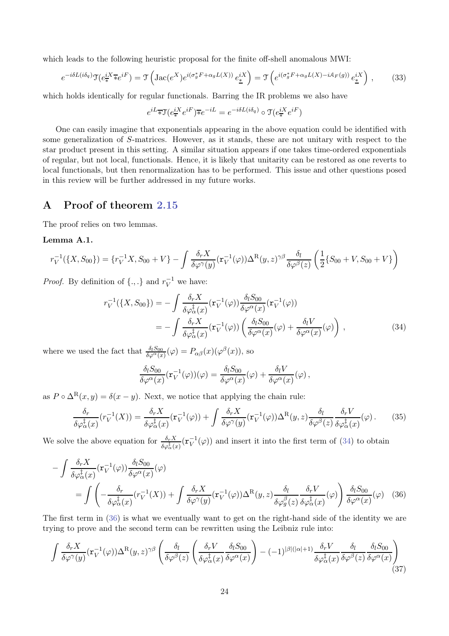which leads to the following heuristic proposal for the finite off-shell anomalous MWI:

$$
e^{-i\delta L(i\delta_q)}\mathfrak{T}(e^{iX}_{*}\overline{\ast}e^{iF}) = \mathfrak{T}\left(\operatorname{Jac}(e^{X})e^{i(\sigma_g^*F + \alpha_g L(X))}e^{iX}_{*}\right) = \mathfrak{T}\left(e^{i(\sigma_g^*F + \alpha_g L(X) - iA_F(g))}e^{iX}_{*}\right),\tag{33}
$$

which holds identically for regular functionals. Barring the IR problems we also have

$$
e^{iL_{\overline{\ast}}}\mathfrak{T}(e^{iX}_{\overline{\ast}}e^{iF})\overline{\ast}e^{-iL}=e^{-i\delta L(i\delta_{q})}\circ\mathfrak{T}(e^{iX}_{\overline{\ast}}e^{iF})
$$

One can easily imagine that exponentials appearing in the above equation could be identified with some generalization of S-matrices. However, as it stands, these are not unitary with respect to the star product present in this setting. A similar situation appears if one takes time-ordered exponentials of regular, but not local, functionals. Hence, it is likely that unitarity can be restored as one reverts to local functionals, but then renormalization has to be performed. This issue and other questions posed in this review will be further addressed in my future works.

# A Proof of theorem [2.15](#page-12-1)

The proof relies on two lemmas.

# Lemma A.1.

$$
r_V^{-1}(\{X, S_{00}\}) = \{r_V^{-1}X, S_{00} + V\} - \int \frac{\delta_r X}{\delta \varphi^{\gamma}(y)} (\mathbf{r}_V^{-1}(\varphi)) \Delta^{\mathcal{R}}(y, z)^{\gamma \beta} \frac{\delta_l}{\delta \varphi^{\beta}(z)} \left(\frac{1}{2} \{S_{00} + V, S_{00} + V\}\right)
$$

*Proof.* By definition of  $\{.,.\}$  and  $r_V^{-1}$  we have:

$$
r_V^{-1}(\lbrace X, S_{00} \rbrace) = -\int \frac{\delta_r X}{\delta \varphi_\alpha^{\ddagger}(x)} (\mathbf{r}_V^{-1}(\varphi)) \frac{\delta_l S_{00}}{\delta \varphi^{\alpha}(x)} (\mathbf{r}_V^{-1}(\varphi))
$$
  
= 
$$
-\int \frac{\delta_r X}{\delta \varphi_\alpha^{\ddagger}(x)} (\mathbf{r}_V^{-1}(\varphi)) \left( \frac{\delta_l S_{00}}{\delta \varphi^{\alpha}(x)} (\varphi) + \frac{\delta_l V}{\delta \varphi^{\alpha}(x)} (\varphi) \right),
$$
(34)

where we used the fact that  $\frac{\delta_l S_{00}}{\delta \varphi^{\alpha}(x)}(\varphi) = P_{\alpha\beta}(x)(\varphi^{\beta}(x))$ , so

<span id="page-23-1"></span><span id="page-23-0"></span>
$$
\frac{\delta_l S_{00}}{\delta \varphi^{\alpha}(x)} (\mathbf{r}_V^{-1}(\varphi))(\varphi) = \frac{\delta_l S_{00}}{\delta \varphi^{\alpha}(x)} (\varphi) + \frac{\delta_l V}{\delta \varphi^{\alpha}(x)}(\varphi),
$$

as  $P \circ \Delta^{R}(x, y) = \delta(x - y)$ . Next, we notice that applying the chain rule:

<span id="page-23-3"></span>
$$
\frac{\delta_r}{\delta \varphi_\alpha^{\ddagger}(x)} (r_V^{-1}(X)) = \frac{\delta_r X}{\delta \varphi_\alpha^{\ddagger}(x)} (\mathbf{r}_V^{-1}(\varphi)) + \int \frac{\delta_r X}{\delta \varphi^\gamma(y)} (\mathbf{r}_V^{-1}(\varphi)) \Delta^{\mathcal{R}}(y, z) \frac{\delta_l}{\delta \varphi^\beta(z)} \frac{\delta_r V}{\delta \varphi_\alpha^{\ddagger}(x)} (\varphi). \tag{35}
$$

We solve the above equation for  $\frac{\delta_r X}{\delta \varphi^{\frac{1}{\alpha}}_a(x)}(\mathbf{r}_V^{-1})$  $V^{-1}(\varphi)$  and insert it into the first term of [\(34\)](#page-23-0) to obtain

$$
-\int \frac{\delta_r X}{\delta \varphi_{\alpha}^{\ddagger}(x)} (\mathbf{r}_V^{-1}(\varphi)) \frac{\delta_l S_{00}}{\delta \varphi^{\alpha}(x)}(\varphi)
$$
  
= 
$$
\int \left( -\frac{\delta_r}{\delta \varphi_{\alpha}^{\ddagger}(x)} (r_V^{-1}(X)) + \int \frac{\delta_r X}{\delta \varphi^{\gamma}(y)} (\mathbf{r}_V^{-1}(\varphi)) \Delta^{\mathcal{R}}(y, z) \frac{\delta_l}{\delta \varphi_{g}^{\beta}(z)} \frac{\delta_r V}{\delta \varphi_{\alpha}^{\ddagger}(x)}(\varphi) \right) \frac{\delta_l S_{00}}{\delta \varphi^{\alpha}(x)}(\varphi) \tag{36}
$$

The first term in [\(36\)](#page-23-1) is what we eventually want to get on the right-hand side of the identity we are trying to prove and the second term can be rewritten using the Leibniz rule into:

<span id="page-23-2"></span>
$$
\int \frac{\delta_r X}{\delta \varphi^{\gamma}(y)} (\mathbf{r}_V^{-1}(\varphi)) \Delta^{\mathcal{R}}(y, z)^{\gamma \beta} \left( \frac{\delta_l}{\delta \varphi^{\beta}(z)} \left( \frac{\delta_r V}{\delta \varphi^{\frac{1}{\alpha}}(x)} \frac{\delta_l S_{00}}{\delta \varphi^{\alpha}(x)} \right) - (-1)^{|\beta|(|\alpha|+1)} \frac{\delta_r V}{\delta \varphi^{\frac{1}{\alpha}}(x)} \frac{\delta_l}{\delta \varphi^{\beta}(z)} \frac{\delta_l S_{00}}{\delta \varphi^{\alpha}(x)} \right) \tag{37}
$$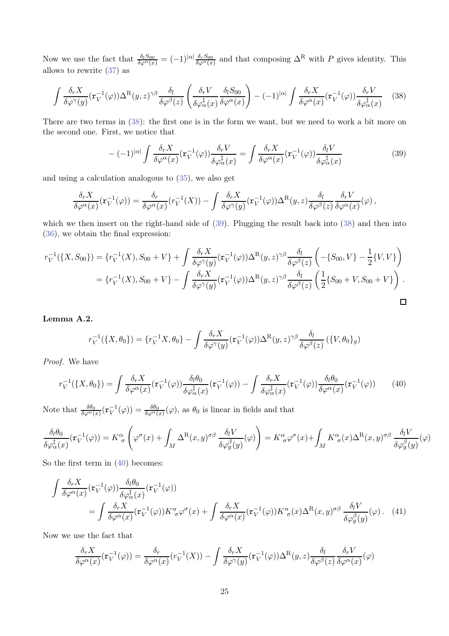Now we use the fact that  $\frac{\delta_l S_{00}}{\delta \varphi^{\alpha}(x)} = (-1)^{|\alpha|} \frac{\delta_r S_{00}}{\delta \varphi^{\alpha}(x)}$  and that composing  $\Delta^{\mathcal{R}}$  with P gives identity. This allows to rewrite [\(37\)](#page-23-2) as

<span id="page-24-0"></span>
$$
\int \frac{\delta_r X}{\delta \varphi^{\gamma}(y)} (\mathbf{r}_V^{-1}(\varphi)) \Delta^{\mathcal{R}}(y, z)^{\gamma \beta} \frac{\delta_l}{\delta \varphi^{\beta}(z)} \left( \frac{\delta_r V}{\delta \varphi^{\frac{1}{\alpha}}(x)} \frac{\delta_l S_{00}}{\delta \varphi^{\alpha}(x)} \right) - (-1)^{|\alpha|} \int \frac{\delta_r X}{\delta \varphi^{\alpha}(x)} (\mathbf{r}_V^{-1}(\varphi)) \frac{\delta_r V}{\delta \varphi^{\frac{1}{\alpha}}(x)} \tag{38}
$$

There are two terms in  $(38)$ : the first one is in the form we want, but we need to work a bit more on the second one. First, we notice that

<span id="page-24-1"></span>
$$
-(-1)^{|\alpha|} \int \frac{\delta_r X}{\delta \varphi^{\alpha}(x)} (\mathbf{r}_V^{-1}(\varphi)) \frac{\delta_r V}{\delta \varphi_{\alpha}^{\dagger}(x)} = \int \frac{\delta_r X}{\delta \varphi^{\alpha}(x)} (\mathbf{r}_V^{-1}(\varphi)) \frac{\delta_l V}{\delta \varphi_{\alpha}^{\dagger}(x)}
$$
(39)

and using a calculation analogous to [\(35\)](#page-23-3), we also get

$$
\frac{\delta_r X}{\delta \varphi^{\alpha}(x)}(\mathbf{r}_V^{-1}(\varphi)) = \frac{\delta_r}{\delta \varphi^{\alpha}(x)}(r_V^{-1}(X)) - \int \frac{\delta_r X}{\delta \varphi^{\gamma}(y)}(\mathbf{r}_V^{-1}(\varphi))\Delta^{\mathbf{R}}(y,z)\frac{\delta_l}{\delta \varphi^{\beta}(z)}\frac{\delta_r V}{\delta \varphi^{\alpha}(x)}(\varphi),
$$

which we then insert on the right-hand side of [\(39\)](#page-24-1). Plugging the result back into [\(38\)](#page-24-0) and then into [\(36\)](#page-23-1), we obtain the final expression:

$$
r_V^{-1}(\{X, S_{00}\}) = \{r_V^{-1}(X), S_{00} + V\} + \int \frac{\delta_r X}{\delta \varphi^{\gamma}(y)} (\mathbf{r}_V^{-1}(\varphi)) \Delta^{\mathcal{R}}(y, z)^{\gamma \beta} \frac{\delta_l}{\delta \varphi^{\beta}(z)} \left( -\{S_{00}, V\} - \frac{1}{2} \{V, V\} \right)
$$
  
=  $\{r_V^{-1}(X), S_{00} + V\} - \int \frac{\delta_r X}{\delta \varphi^{\gamma}(y)} (\mathbf{r}_V^{-1}(\varphi)) \Delta^{\mathcal{R}}(y, z)^{\gamma \beta} \frac{\delta_l}{\delta \varphi^{\beta}(z)} \left( \frac{1}{2} \{S_{00} + V, S_{00} + V\} \right).$ 

Lemma A.2.

$$
r_V^{-1}(\lbrace X, \theta_0 \rbrace) = \lbrace r_V^{-1} X, \theta_0 \rbrace - \int \frac{\delta_r X}{\delta \varphi^{\gamma}(y)} (\mathbf{r}_V^{-1}(\varphi)) \Delta^{\mathcal{R}}(y, z)^{\gamma \beta} \frac{\delta_l}{\delta \varphi^{\beta}(z)} (\lbrace V, \theta_0 \rbrace_g)
$$

Proof. We have

<span id="page-24-2"></span>
$$
r_V^{-1}(\lbrace X, \theta_0 \rbrace) = \int \frac{\delta_r X}{\delta \varphi^{\alpha}(x)} (\mathbf{r}_V^{-1}(\varphi)) \frac{\delta_l \theta_0}{\delta \varphi_{\alpha}^{\ddagger}(x)} (\mathbf{r}_V^{-1}(\varphi)) - \int \frac{\delta_r X}{\delta \varphi_{\alpha}^{\ddagger}(x)} (\mathbf{r}_V^{-1}(\varphi)) \frac{\delta_l \theta_0}{\delta \varphi^{\alpha}(x)} (\mathbf{r}_V^{-1}(\varphi)) \tag{40}
$$

Note that  $\frac{\delta\theta_0}{\delta\varphi^{\alpha}(x)}(\mathbf{r}_V^{-1}(\varphi)) = \frac{\delta\theta_0}{\delta\varphi^{\alpha}(x)}(\varphi)$ , as  $\theta_0$  is linear in fields and that

$$
\frac{\delta_l \theta_0}{\delta \varphi_{\alpha}^{\ddag}(x)} (\mathbf{r}_V^{-1}(\varphi)) = K_{\ \sigma}^{\alpha} \left( \varphi^{\sigma}(x) + \int_M \Delta^{\mathrm{R}}(x,y)^{\sigma \beta} \, \frac{\delta_l V}{\delta \varphi_{g}^{\beta}(y)}(\varphi) \right) = K_{\ \sigma}^{\alpha} \varphi^{\sigma}(x) + \int_M K_{\ \sigma}^{\alpha}(x) \Delta^{\mathrm{R}}(x,y)^{\sigma \beta} \, \frac{\delta_l V}{\delta \varphi_{g}^{\beta}(y)}(\varphi)
$$

So the first term in [\(40\)](#page-24-2) becomes:

$$
\int \frac{\delta_r X}{\delta \varphi^{\alpha}(x)} (\mathbf{r}_V^{-1}(\varphi)) \frac{\delta_l \theta_0}{\delta \varphi_{\alpha}^{\dagger}(x)} (\mathbf{r}_V^{-1}(\varphi)) \n= \int \frac{\delta_r X}{\delta \varphi^{\alpha}(x)} (\mathbf{r}_V^{-1}(\varphi)) K^{\alpha}_{\sigma} \varphi^{\sigma}(x) + \int \frac{\delta_r X}{\delta \varphi^{\alpha}(x)} (\mathbf{r}_V^{-1}(\varphi)) K^{\alpha}_{\sigma} (x) \Delta^{\mathcal{R}}(x, y)^{\sigma \beta} \frac{\delta_l V}{\delta \varphi_g^{\beta}(y)} (\varphi). \tag{41}
$$

Now we use the fact that

<span id="page-24-3"></span>
$$
\frac{\delta_r X}{\delta \varphi^{\alpha}(x)}(\mathbf{r}_V^{-1}(\varphi)) = \frac{\delta_r}{\delta \varphi^{\alpha}(x)}(r_V^{-1}(X)) - \int \frac{\delta_r X}{\delta \varphi^{\gamma}(y)}(\mathbf{r}_V^{-1}(\varphi)) \Delta^{\mathcal{R}}(y, z) \frac{\delta_l}{\delta \varphi^{\beta}(z)} \frac{\delta_r V}{\delta \varphi^{\alpha}(x)}(\varphi)
$$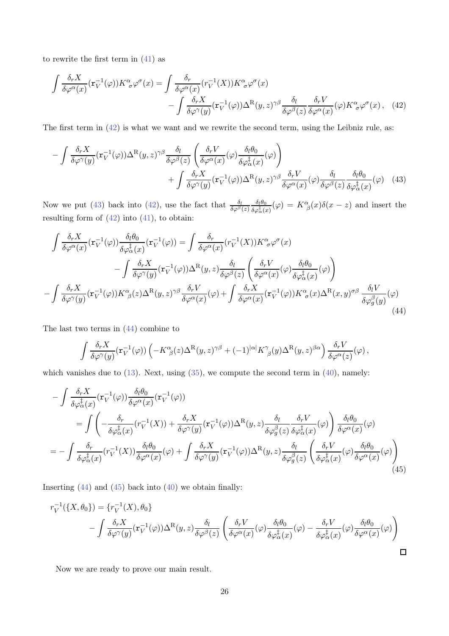to rewrite the first term in  $(41)$  as

<span id="page-25-0"></span>
$$
\int \frac{\delta_r X}{\delta \varphi^{\alpha}(x)} (\mathbf{r}_V^{-1}(\varphi)) K^{\alpha}_{\sigma} \varphi^{\sigma}(x) = \int \frac{\delta_r}{\delta \varphi^{\alpha}(x)} (r_V^{-1}(X)) K^{\alpha}_{\sigma} \varphi^{\sigma}(x) \n- \int \frac{\delta_r X}{\delta \varphi^{\gamma}(y)} (\mathbf{r}_V^{-1}(\varphi)) \Delta^{\mathcal{R}}(y, z)^{\gamma \beta} \frac{\delta_l}{\delta \varphi^{\beta}(z)} \frac{\delta_r V}{\delta \varphi^{\alpha}(x)} (\varphi) K^{\alpha}_{\sigma} \varphi^{\sigma}(x), \quad (42)
$$

The first term in [\(42\)](#page-25-0) is what we want and we rewrite the second term, using the Leibniz rule, as:

<span id="page-25-1"></span>
$$
- \int \frac{\delta_r X}{\delta \varphi^{\gamma}(y)} (\mathbf{r}_V^{-1}(\varphi)) \Delta^{\mathcal{R}}(y, z)^{\gamma \beta} \frac{\delta_l}{\delta \varphi^{\beta}(z)} \left( \frac{\delta_r V}{\delta \varphi^{\alpha}(x)} (\varphi) \frac{\delta_l \theta_0}{\delta \varphi_{\alpha}^{\frac{1}{\zeta}}(x)} (\varphi) \right) + \int \frac{\delta_r X}{\delta \varphi^{\gamma}(y)} (\mathbf{r}_V^{-1}(\varphi)) \Delta^{\mathcal{R}}(y, z)^{\gamma \beta} \frac{\delta_r V}{\delta \varphi^{\alpha}(x)} (\varphi) \frac{\delta_l}{\delta \varphi^{\beta}(z)} \frac{\delta_l \theta_0}{\delta \varphi_{\alpha}^{\frac{1}{\zeta}}(x)} (\varphi) \quad (43)
$$

Now we put [\(43\)](#page-25-1) back into [\(42\)](#page-25-0), use the fact that  $\frac{\delta_l}{\delta \varphi^{\beta}(z)}$  $\delta_l\theta_0$  $\frac{\delta_l \theta_0}{\delta \varphi_\alpha^{\ddag}(x)}(\varphi) = K^\alpha_{\ \beta}(x) \delta(x-z)$  and insert the resulting form of  $(42)$  into  $(41)$ , to obtain:

$$
\int \frac{\delta_r X}{\delta \varphi^{\alpha}(x)} (\mathbf{r}_V^{-1}(\varphi)) \frac{\delta_l \theta_0}{\delta \varphi_{\alpha}^{\dagger}(x)} (\mathbf{r}_V^{-1}(\varphi)) = \int \frac{\delta_r}{\delta \varphi^{\alpha}(x)} (r_V^{-1}(X)) K^{\alpha}{}_{\sigma} \varphi^{\sigma}(x)
$$

$$
- \int \frac{\delta_r X}{\delta \varphi^{\gamma}(y)} (\mathbf{r}_V^{-1}(\varphi)) \Delta^{\mathrm{R}}(y, z) \frac{\delta_l}{\delta \varphi^{\beta}(z)} \left( \frac{\delta_r V}{\delta \varphi^{\alpha}(x)} (\varphi) \frac{\delta_l \theta_0}{\delta \varphi_{\alpha}^{\dagger}(x)} (\varphi) \right)
$$

$$
- \int \frac{\delta_r X}{\delta \varphi^{\gamma}(y)} (\mathbf{r}_V^{-1}(\varphi)) K^{\alpha}{}_{\beta}(z) \Delta^{\mathrm{R}}(y, z)^{\gamma \beta} \frac{\delta_r V}{\delta \varphi^{\alpha}(x)} (\varphi) + \int \frac{\delta_r X}{\delta \varphi^{\alpha}(x)} (\mathbf{r}_V^{-1}(\varphi)) K^{\alpha}{}_{\sigma}(x) \Delta^{\mathrm{R}}(x, y)^{\sigma \beta} \frac{\delta_l V}{\delta \varphi^{\beta}(y)} (\varphi)
$$
(44)

The last two terms in [\(44\)](#page-25-2) combine to

<span id="page-25-3"></span><span id="page-25-2"></span>
$$
\int \frac{\delta_r X}{\delta \varphi^{\gamma}(y)} (\mathbf{r}_V^{-1}(\varphi)) \left( -K^{\alpha}_{\beta}(z) \Delta^{\mathcal{R}}(y, z)^{\gamma \beta} + (-1)^{|\alpha|} K^{\gamma}_{\beta}(y) \Delta^{\mathcal{R}}(y, z)^{\beta \alpha} \right) \frac{\delta_r V}{\delta \varphi^{\alpha}(z)}(\varphi),
$$

which vanishes due to  $(13)$ . Next, using  $(35)$ , we compute the second term in  $(40)$ , namely:

$$
-\int \frac{\delta_r X}{\delta \varphi_{\alpha}^{\dagger}(x)} (\mathbf{r}_V^{-1}(\varphi)) \frac{\delta_l \theta_0}{\delta \varphi^{\alpha}(x)} (\mathbf{r}_V^{-1}(\varphi))
$$
  
\n
$$
=\int \left( -\frac{\delta_r}{\delta \varphi_{\alpha}^{\dagger}(x)} (r_V^{-1}(X)) + \frac{\delta_r X}{\delta \varphi^{\gamma}(y)} (\mathbf{r}_V^{-1}(\varphi)) \Delta^{\mathrm{R}}(y, z) \frac{\delta_l}{\delta \varphi_{g}^{\beta}(z)} \frac{\delta_r V}{\delta \varphi_{\alpha}^{\dagger}(x)} (\varphi) \right) \frac{\delta_l \theta_0}{\delta \varphi^{\alpha}(x)} (\varphi)
$$
  
\n
$$
=-\int \frac{\delta_r}{\delta \varphi_{\alpha}^{\dagger}(x)} (r_V^{-1}(X)) \frac{\delta_l \theta_0}{\delta \varphi^{\alpha}(x)} (\varphi) + \int \frac{\delta_r X}{\delta \varphi^{\gamma}(y)} (\mathbf{r}_V^{-1}(\varphi)) \Delta^{\mathrm{R}}(y, z) \frac{\delta_l}{\delta \varphi_{g}^{\beta}(z)} \left( \frac{\delta_r V}{\delta \varphi_{\alpha}^{\dagger}(x)} (\varphi) \frac{\delta_l \theta_0}{\delta \varphi^{\alpha}(x)} (\varphi) \right)
$$
\n(45)

Inserting  $(44)$  and  $(45)$  back into  $(40)$  we obtain finally:

$$
r_V^{-1}(\lbrace X, \theta_0 \rbrace) = \lbrace r_V^{-1}(X), \theta_0 \rbrace
$$
  
- 
$$
\int \frac{\delta_r X}{\delta \varphi^{\gamma}(y)} (\mathbf{r}_V^{-1}(\varphi)) \Delta^{\mathcal{R}}(y, z) \frac{\delta_l}{\delta \varphi^{\beta}(z)} \left( \frac{\delta_r V}{\delta \varphi^{\alpha}(x)} (\varphi) \frac{\delta_l \theta_0}{\delta \varphi_{\alpha}^{\dagger}(x)} (\varphi) - \frac{\delta_r V}{\delta \varphi_{\alpha}^{\dagger}(x)} (\varphi) \frac{\delta_l \theta_0}{\delta \varphi^{\alpha}(x)} (\varphi) \right)
$$

Now we are ready to prove our main result.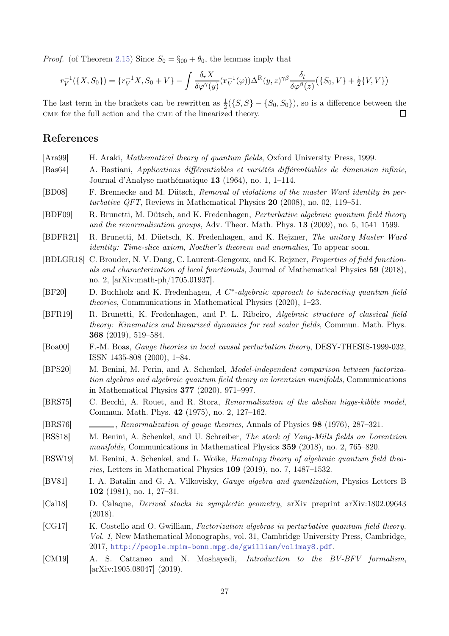*Proof.* (of Theorem [2.15\)](#page-12-1) Since  $S_0 = \S_{00} + \theta_0$ , the lemmas imply that

$$
r_V^{-1}(\{X, S_0\}) = \{r_V^{-1}X, S_0 + V\} - \int \frac{\delta_r X}{\delta \varphi^{\gamma}(y)} (\mathbf{r}_V^{-1}(\varphi)) \Delta^{\mathcal{R}}(y, z)^{\gamma \beta} \frac{\delta_l}{\delta \varphi^{\beta}(z)} (\{S_0, V\} + \frac{1}{2} \{V, V\})
$$

The last term in the brackets can be rewritten as  $\frac{1}{2}(\{S, S\} - \{S_0, S_0\})$ , so is a difference between the cme for the full action and the cme of the linearized theory.  $\Box$ 

# References

- <span id="page-26-5"></span>[Ara99] H. Araki, *Mathematical theory of quantum fields*, Oxford University Press, 1999.
- <span id="page-26-12"></span>[Bas64] A. Bastiani, Applications différentiables et variétés différentiables de dimension infinie, Journal d'Analyse mathématique 13 (1964), no. 1, 1–114.
- <span id="page-26-6"></span>[BD08] F. Brennecke and M. Dütsch, Removal of violations of the master Ward identity in perturbative QFT, Reviews in Mathematical Physics  $20$  (2008), no. 02, 119–51.
- <span id="page-26-8"></span>[BDF09] R. Brunetti, M. Dütsch, and K. Fredenhagen, Perturbative algebraic quantum field theory and the renormalization groups, Adv. Theor. Math. Phys.  $13$  (2009), no. 5, 1541–1599.
- <span id="page-26-17"></span>[BDFR21] R. Brunetti, M. Düetsch, K. Fredenhagen, and K. Rejzner, The unitary Master Ward identity: Time-slice axiom, Noether's theorem and anomalies, To appear soon.
- <span id="page-26-13"></span>[BDLGR18] C. Brouder, N. V. Dang, C. Laurent-Gengoux, and K. Rejzner, Properties of field functionals and characterization of local functionals, Journal of Mathematical Physics 59 (2018), no. 2, [arXiv:math-ph/1705.01937].
- <span id="page-26-11"></span>[BF20] D. Buchholz and K. Fredenhagen, A C<sup>\*</sup>-algebraic approach to interacting quantum field theories, Communications in Mathematical Physics (2020), 1–23.
- <span id="page-26-15"></span>[BFR19] R. Brunetti, K. Fredenhagen, and P. L. Ribeiro, Algebraic structure of classical field theory: Kinematics and linearized dynamics for real scalar fields, Commun. Math. Phys. 368 (2019), 519–584.
- <span id="page-26-7"></span>[Boa00] F.-M. Boas, Gauge theories in local causal perturbation theory, DESY-THESIS-1999-032, ISSN 1435-808 (2000), 1–84.
- <span id="page-26-10"></span>[BPS20] M. Benini, M. Perin, and A. Schenkel, Model-independent comparison between factorization algebras and algebraic quantum field theory on lorentzian manifolds, Communications in Mathematical Physics 377 (2020), 971–997.
- <span id="page-26-0"></span>[BRS75] C. Becchi, A. Rouet, and R. Stora, Renormalization of the abelian higgs-kibble model, Commun. Math. Phys. 42 (1975), no. 2, 127–162.
- <span id="page-26-1"></span>[BRS76] , Renormalization of gauge theories, Annals of Physics 98 (1976), 287–321.
- <span id="page-26-14"></span>[BSS18] M. Benini, A. Schenkel, and U. Schreiber, The stack of Yang-Mills fields on Lorentzian manifolds, Communications in Mathematical Physics 359 (2018), no. 2, 765–820.
- <span id="page-26-16"></span>[BSW19] M. Benini, A. Schenkel, and L. Woike, *Homotopy theory of algebraic quantum field theo*ries, Letters in Mathematical Physics 109 (2019), no. 7, 1487–1532.
- <span id="page-26-2"></span>[BV81] I. A. Batalin and G. A. Vilkovisky, Gauge algebra and quantization, Physics Letters B 102 (1981), no. 1, 27–31.
- <span id="page-26-4"></span>[Cal18] D. Calaque, Derived stacks in symplectic geometry, arXiv preprint arXiv:1802.09643 (2018).
- <span id="page-26-9"></span>[CG17] K. Costello and O. Gwilliam, Factorization algebras in perturbative quantum field theory. Vol. 1, New Mathematical Monographs, vol. 31, Cambridge University Press, Cambridge, 2017, <http://people.mpim-bonn.mpg.de/gwilliam/vol1may8.pdf>.
- <span id="page-26-3"></span>[CM19] A. S. Cattaneo and N. Moshayedi, Introduction to the BV-BFV formalism, [arXiv:1905.08047] (2019).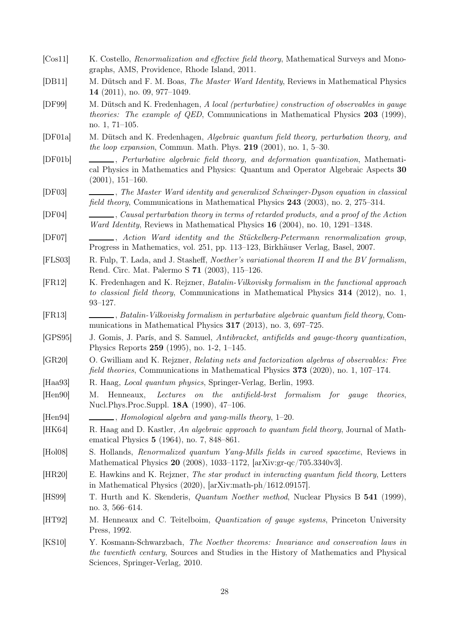- <span id="page-27-17"></span>[Cos11] K. Costello, *Renormalization and effective field theory*, Mathematical Surveys and Monographs, AMS, Providence, Rhode Island, 2011.
- <span id="page-27-12"></span>[DB11] M. Dütsch and F. M. Boas, The Master Ward Identity, Reviews in Mathematical Physics 14 (2011), no. 09, 977–1049.
- <span id="page-27-13"></span>[DF99] M. Dütsch and K. Fredenhagen, A local (perturbative) construction of observables in gauge *theories: The example of QED*, Communications in Mathematical Physics 203 (1999), no. 1, 71–105.
- <span id="page-27-11"></span>[DF01a] M. Dütsch and K. Fredenhagen, Algebraic quantum field theory, perturbation theory, and the loop expansion, Commun. Math. Phys.  $219$  (2001), no. 1, 5–30.
- <span id="page-27-7"></span>[DF01b] , Perturbative algebraic field theory, and deformation quantization, Mathematical Physics in Mathematics and Physics: Quantum and Operator Algebraic Aspects 30 (2001), 151–160.
- <span id="page-27-8"></span>[DF03] , The Master Ward identity and generalized Schwinger-Dyson equation in classical field theory, Communications in Mathematical Physics 243 (2003), no. 2, 275–314.
- <span id="page-27-9"></span>[DF04] , Causal perturbation theory in terms of retarded products, and a proof of the Action Ward Identity, Reviews in Mathematical Physics 16 (2004), no. 10, 1291–1348.
- <span id="page-27-10"></span>[DF07] , Action Ward identity and the Stückelberg-Petermann renormalization group, Progress in Mathematics, vol. 251, pp. 113–123, Birkhäuser Verlag, Basel, 2007.
- <span id="page-27-19"></span>[FLS03] R. Fulp, T. Lada, and J. Stasheff, Noether's variational theorem II and the BV formalism, Rend. Circ. Mat. Palermo S 71 (2003), 115–126.
- <span id="page-27-15"></span>[FR12] K. Fredenhagen and K. Rejzner, Batalin-Vilkovisky formalism in the functional approach to classical field theory, Communications in Mathematical Physics  $314$  (2012), no. 1, 93–127.
- <span id="page-27-16"></span>[FR13] , Batalin-Vilkovisky formalism in perturbative algebraic quantum field theory, Communications in Mathematical Physics 317 (2013), no. 3, 697–725.
- <span id="page-27-4"></span>[GPS95] J. Gomis, J. París, and S. Samuel, Antibracket, antifields and gauge-theory quantization, Physics Reports 259 (1995), no. 1-2, 1–145.
- <span id="page-27-18"></span>[GR20] O. Gwilliam and K. Rejzner, Relating nets and factorization algebras of observables: Free field theories, Communications in Mathematical Physics 373 (2020), no. 1, 107–174.
- <span id="page-27-6"></span>[Haa93] R. Haag, Local quantum physics, Springer-Verlag, Berlin, 1993.
- <span id="page-27-20"></span>[Hen90] M. Henneaux, Lectures on the antifield-brst formalism for gauge theories, Nucl.Phys.Proc.Suppl. 18A (1990), 47–106.
- <span id="page-27-3"></span>[Hen94] , Homological algebra and yang-mills theory, 1–20.
- <span id="page-27-5"></span>[HK64] R. Haag and D. Kastler, An algebraic approach to quantum field theory, Journal of Mathematical Physics 5 (1964), no. 7, 848–861.
- <span id="page-27-14"></span>[Hol08] S. Hollands, Renormalized quantum Yang-Mills fields in curved spacetime, Reviews in Mathematical Physics 20 (2008), 1033–1172, [arXiv:gr-qc/705.3340v3].
- <span id="page-27-21"></span>[HR20] E. Hawkins and K. Rejzner, The star product in interacting quantum field theory, Letters in Mathematical Physics (2020), [arXiv:math-ph/1612.09157].
- <span id="page-27-1"></span>[HS99] T. Hurth and K. Skenderis, Quantum Noether method, Nuclear Physics B 541 (1999), no. 3, 566–614.
- <span id="page-27-2"></span>[HT92] M. Henneaux and C. Teitelboim, Quantization of gauge systems, Princeton University Press, 1992.
- <span id="page-27-0"></span>[KS10] Y. Kosmann-Schwarzbach, The Noether theorems: Invariance and conservation laws in the twentieth century, Sources and Studies in the History of Mathematics and Physical Sciences, Springer-Verlag, 2010.